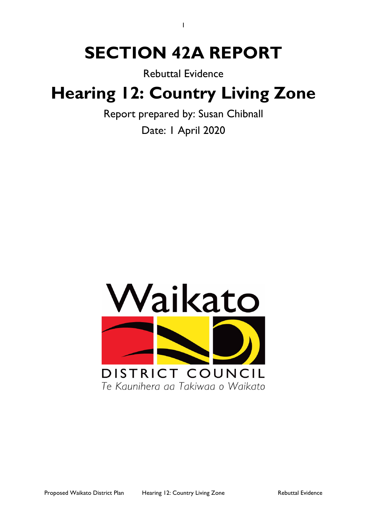# **SECTION 42A REPORT**

1

Rebuttal Evidence

# **Hearing 12: Country Living Zone**

Report prepared by: Susan Chibnall Date: 1 April 2020

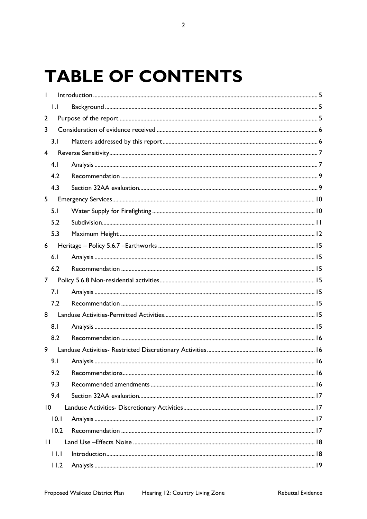# **TABLE OF CONTENTS**

|                | $\mathsf{L}$ |  |  |  |  |
|----------------|--------------|--|--|--|--|
| 2              |              |  |  |  |  |
| 3              |              |  |  |  |  |
|                | 3.1          |  |  |  |  |
| $\overline{4}$ |              |  |  |  |  |
|                | 4.1          |  |  |  |  |
|                | 4.2          |  |  |  |  |
|                | 4.3          |  |  |  |  |
| 5              |              |  |  |  |  |
|                | 5.1          |  |  |  |  |
|                | 5.2          |  |  |  |  |
|                | 5.3          |  |  |  |  |
| 6              |              |  |  |  |  |
|                | 6.1          |  |  |  |  |
|                | 6.2          |  |  |  |  |
| $\overline{7}$ |              |  |  |  |  |
|                | 7.1          |  |  |  |  |
|                | 7.2          |  |  |  |  |
| 8              |              |  |  |  |  |
|                | 8.1          |  |  |  |  |
|                | 8.2          |  |  |  |  |
| 9              |              |  |  |  |  |
|                | 9.1          |  |  |  |  |
|                | 9.2          |  |  |  |  |
|                | 9.3          |  |  |  |  |
|                | 9.4          |  |  |  |  |
| 10             |              |  |  |  |  |
|                | 10.1         |  |  |  |  |
|                | 10.2         |  |  |  |  |
| $\mathbf{H}$   |              |  |  |  |  |
|                | $  \cdot  $  |  |  |  |  |
|                | 11.2         |  |  |  |  |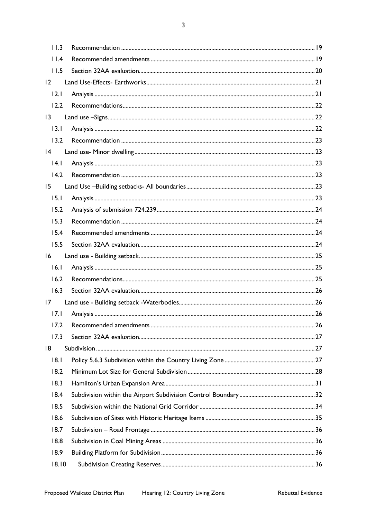$\overline{3}$ 

| 11.3            |  |  |  |
|-----------------|--|--|--|
| 11.4            |  |  |  |
| 11.5            |  |  |  |
| 12              |  |  |  |
| 2.1             |  |  |  |
| 12.2            |  |  |  |
| $\overline{13}$ |  |  |  |
| 13.1            |  |  |  |
| 13.2            |  |  |  |
| 4               |  |  |  |
| 4.1             |  |  |  |
| 14.2            |  |  |  |
| 15              |  |  |  |
| 15.1            |  |  |  |
| 15.2            |  |  |  |
| 15.3            |  |  |  |
| 15.4            |  |  |  |
| 15.5            |  |  |  |
| 16              |  |  |  |
| 16.1            |  |  |  |
| 16.2            |  |  |  |
| 16.3            |  |  |  |
| 17              |  |  |  |
| 17.1            |  |  |  |
| 17.2            |  |  |  |
| 17.3            |  |  |  |
| 18              |  |  |  |
| 8.1             |  |  |  |
| 18.2            |  |  |  |
| 18.3            |  |  |  |
| 18.4            |  |  |  |
| 18.5            |  |  |  |
| 18.6            |  |  |  |
| 18.7            |  |  |  |
| 18.8            |  |  |  |
| 18.9            |  |  |  |
| 18.10           |  |  |  |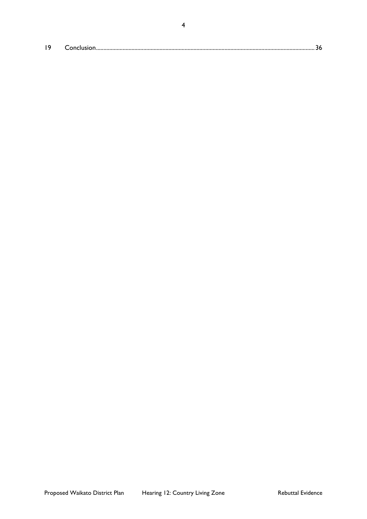| 19 |  |  |
|----|--|--|
|----|--|--|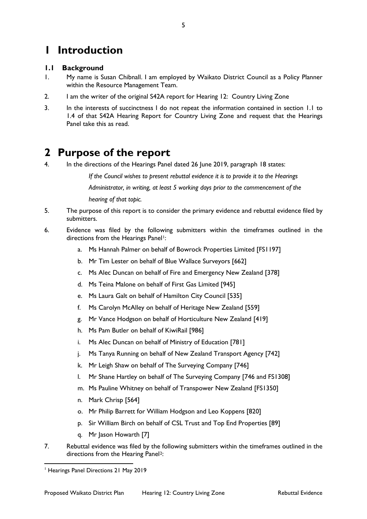# <span id="page-4-0"></span>**1 Introduction**

### <span id="page-4-1"></span>**1.1 Background**

- 1. My name is Susan Chibnall. I am employed by Waikato District Council as a Policy Planner within the Resource Management Team.
- 2. I am the writer of the original S42A report for Hearing 12: Country Living Zone
- 3. In the interests of succinctness I do not repeat the information contained in section 1.1 to 1.4 of that S42A Hearing Report for Country Living Zone and request that the Hearings Panel take this as read.

# <span id="page-4-2"></span>**2 Purpose of the report**

4. In the directions of the Hearings Panel dated 26 June 2019, paragraph 18 states:

*If the Council wishes to present rebuttal evidence it is to provide it to the Hearings Administrator, in writing, at least 5 working days prior to the commencement of the hearing of that topic.*

- 5. The purpose of this report is to consider the primary evidence and rebuttal evidence filed by submitters.
- 6. Evidence was filed by the following submitters within the timeframes outlined in the directions from the Hearings Panel<sup>[1](#page-4-3)</sup>:
	- a. Ms Hannah Palmer on behalf of Bowrock Properties Limited [FS1197]
	- b. Mr Tim Lester on behalf of Blue Wallace Surveyors [662]
	- c. Ms Alec Duncan on behalf of Fire and Emergency New Zealand [378]
	- d. Ms Teina Malone on behalf of First Gas Limited [945]
	- e. Ms Laura Galt on behalf of Hamilton City Council [535]
	- f. Ms Carolyn McAlley on behalf of Heritage New Zealand [559]
	- g. Mr Vance Hodgson on behalf of Horticulture New Zealand [419]
	- h. Ms Pam Butler on behalf of KiwiRail [986]
	- i. Ms Alec Duncan on behalf of Ministry of Education [781]
	- j. Ms Tanya Running on behalf of New Zealand Transport Agency [742]
	- k. Mr Leigh Shaw on behalf of The Surveying Company [746]
	- l. Mr Shane Hartley on behalf of The Surveying Company [746 and FS1308]
	- m. Ms Pauline Whitney on behalf of Transpower New Zealand [FS1350]
	- n. Mark Chrisp [564]
	- o. Mr Philip Barrett for William Hodgson and Leo Koppens [820]
	- p. Sir William Birch on behalf of CSL Trust and Top End Properties [89]
	- q. Mr Jason Howarth [7]
- 7. Rebuttal evidence was filed by the following submitters within the timeframes outlined in the directions from the Hearing Panel<sup>[2](#page-4-4)</sup>:

<span id="page-4-4"></span><span id="page-4-3"></span> <sup>1</sup> Hearings Panel Directions 21 May 2019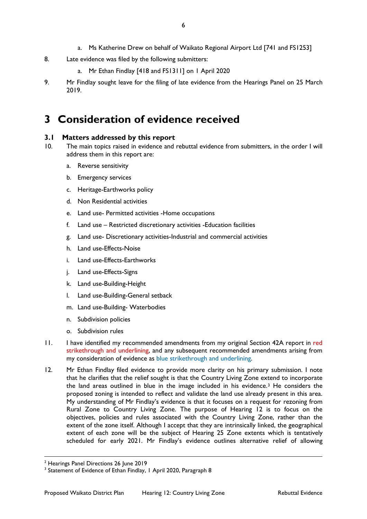- a. Ms Katherine Drew on behalf of Waikato Regional Airport Ltd [741 and FS1253]
- 8. Late evidence was filed by the following submitters:
	- a. Mr Ethan Findlay [418 and FS1311] on 1 April 2020
- 9. Mr Findlay sought leave for the filing of late evidence from the Hearings Panel on 25 March 2019.

# <span id="page-5-0"></span>**3 Consideration of evidence received**

#### <span id="page-5-1"></span>**3.1 Matters addressed by this report**

- 10. The main topics raised in evidence and rebuttal evidence from submitters, in the order I will address them in this report are:
	- a. Reverse sensitivity
	- b. Emergency services
	- c. Heritage-Earthworks policy
	- d. Non Residential activities
	- e. Land use- Permitted activities -Home occupations
	- f. Land use Restricted discretionary activities -Education facilities
	- g. Land use- Discretionary activities-Industrial and commercial activities
	- h. Land use-Effects-Noise
	- i. Land use-Effects-Earthworks
	- j. Land use-Effects-Signs
	- k. Land use-Building-Height
	- l. Land use-Building-General setback
	- m. Land use-Building- Waterbodies
	- n. Subdivision policies
	- o. Subdivision rules
- 11. I have identified my recommended amendments from my original Section 42A report in red strikethrough and underlining, and any subsequent recommended amendments arising from my consideration of evidence as blue strikethrough and underlining.
- 12. Mr Ethan Findlay filed evidence to provide more clarity on his primary submission. I note that he clarifies that the relief sought is that the Country Living Zone extend to incorporate the land areas outlined in blue in the image included in his evidence.[3](#page-5-2) He considers the proposed zoning is intended to reflect and validate the land use already present in this area. My understanding of Mr Findlay's evidence is that it focuses on a request for rezoning from Rural Zone to Country Living Zone. The purpose of Hearing 12 is to focus on the objectives, policies and rules associated with the Country Living Zone, rather than the extent of the zone itself. Although I accept that they are intrinsically linked, the geographical extent of each zone will be the subject of Hearing 25 Zone extents which is tentatively scheduled for early 2021. Mr Findlay's evidence outlines alternative relief of allowing

<sup>&</sup>lt;sup>2</sup> Hearings Panel Directions 26 June 2019

<span id="page-5-2"></span><sup>&</sup>lt;sup>3</sup> Statement of Evidence of Ethan Findlay, 1 April 2020, Paragraph 8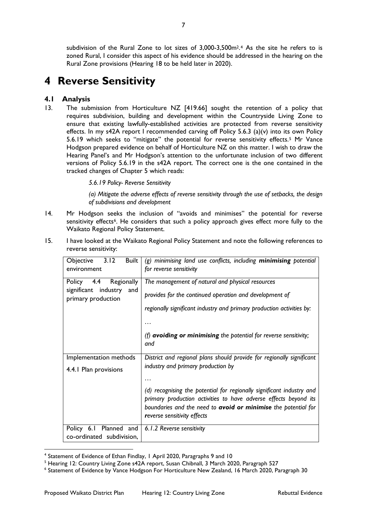subdivision of the Rural Zone to lot sizes of 3,000-3,500m<sup>2</sup>.<sup>[4](#page-6-2)</sup> As the site he refers to is zoned Rural, I consider this aspect of his evidence should be addressed in the hearing on the Rural Zone provisions (Hearing 18 to be held later in 2020).

# <span id="page-6-0"></span>**4 Reverse Sensitivity**

### <span id="page-6-1"></span>**4.1 Analysis**

13. The submission from Horticulture NZ [419.66] sought the retention of a policy that requires subdivision, building and development within the Countryside Living Zone to ensure that existing lawfully-established activities are protected from reverse sensitivity effects. In my s42A report I recommended carving off Policy 5.6.3 (a)(v) into its own Policy 5.6.19 which seeks to "mitigate" the potential for reverse sensitivity effects.[5](#page-6-3) Mr Vance Hodgson prepared evidence on behalf of Horticulture NZ on this matter. I wish to draw the Hearing Panel's and Mr Hodgson's attention to the unfortunate inclusion of two different versions of Policy 5.6.19 in the s42A report. The correct one is the one contained in the tracked changes of Chapter 5 which reads:

*5.6.19 Policy- Reverse Sensitivity* 

*(a) Mitigate the adverse effects of reverse sensitivity through the use of setbacks, the design of subdivisions and development*

14. Mr Hodgson seeks the inclusion of "avoids and minimises" the potential for reverse sensitivity effects<sup>[6](#page-6-4)</sup>. He considers that such a policy approach gives effect more fully to the Waikato Regional Policy Statement.

| 3.12<br>Built<br>Objective<br>environment                                     | $(g)$ minimising land use conflicts, including minimising potential<br>for reverse sensitivity                                                                                                                                                                          |
|-------------------------------------------------------------------------------|-------------------------------------------------------------------------------------------------------------------------------------------------------------------------------------------------------------------------------------------------------------------------|
| Policy 4.4 Regionally<br>significant<br>industry<br>and<br>primary production | The management of natural and physical resources<br>provides for the continued operation and development of<br>regionally significant industry and primary production activities by:<br>(f) <b>avoiding or minimising</b> the potential for reverse sensitivity;<br>and |
| Implementation methods                                                        | District and regional plans should provide for regionally significant                                                                                                                                                                                                   |
| 4.4.1 Plan provisions                                                         | industry and primary production by                                                                                                                                                                                                                                      |
|                                                                               | (d) recognising the potential for regionally significant industry and<br>primary production activities to have adverse effects beyond its<br>boundaries and the need to avoid or minimise the potential for<br>reverse sensitivity effects                              |
| Policy 6.1<br>co-ordinated subdivision,                                       | Planned and $\vert$ 6.1.2 Reverse sensitivity                                                                                                                                                                                                                           |

15. I have looked at the Waikato Regional Policy Statement and note the following references to reverse sensitivity:

 <sup>4</sup> Statement of Evidence of Ethan Findlay, 1 April 2020, Paragraphs 9 and 10

<span id="page-6-3"></span><span id="page-6-2"></span><sup>&</sup>lt;sup>5</sup> Hearing 12: Country Living Zone s42A report, Susan Chibnall, 3 March 2020, Paragraph 527

<span id="page-6-4"></span><sup>6</sup> Statement of Evidence by Vance Hodgson For Horticulture New Zealand, 16 March 2020, Paragraph 30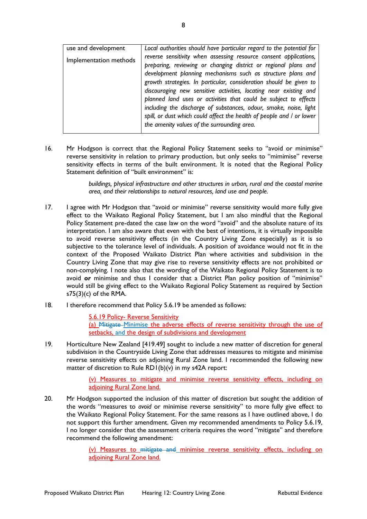| use and development    | Local authorities should have particular regard to the potential for  |
|------------------------|-----------------------------------------------------------------------|
| Implementation methods | reverse sensitivity when assessing resource consent applications,     |
|                        | preparing, reviewing or changing district or regional plans and       |
|                        | development planning mechanisms such as structure plans and           |
|                        | growth strategies. In particular, consideration should be given to    |
|                        | discouraging new sensitive activities, locating near existing and     |
|                        | planned land uses or activities that could be subject to effects      |
|                        | including the discharge of substances, odour, smoke, noise, light     |
|                        | spill, or dust which could affect the health of people and / or lower |
|                        | the amenity values of the surrounding area.                           |
|                        |                                                                       |

16. Mr Hodgson is correct that the Regional Policy Statement seeks to "avoid or minimise" reverse sensitivity in relation to primary production, but only seeks to "mimimise" reverse sensitivity effects in terms of the built environment. It is noted that the Regional Policy Statement definition of "built environment" is:

> *buildings, physical infrastructure and other structures in urban, rural and the coastal marine area, and their relationships to natural resources, land use and people.*

- 17. I agree with Mr Hodgson that "avoid or minimise" reverse sensitivity would more fully give effect to the Waikato Regional Policy Statement, but I am also mindful that the Regional Policy Statement pre-dated the case law on the word "avoid" and the absolute nature of its interpretation. I am also aware that even with the best of intentions, it is virtually impossible to avoid reverse sensitivity effects (in the Country Living Zone especially) as it is so subjective to the tolerance level of individuals. A position of avoidance would not fit in the context of the Proposed Waikato District Plan where activities and subdivision in the Country Living Zone that may give rise to reverse sensitivity effects are not prohibited or non-complying. I note also that the wording of the Waikato Regional Policy Statement is to avoid *or* minimise and thus I consider that a District Plan policy position of "minimise" would still be giving effect to the Waikato Regional Policy Statement as required by Section s75(3)(c) of the RMA.
- 18. I therefore recommend that Policy 5.6.19 be amended as follows:

5.6.19 Policy- Reverse Sensitivity (a) Mitigate Minimise the adverse effects of reverse sensitivity through the use of setbacks, and the design of subdivisions and development

19. Horticulture New Zealand [419.49] sought to include a new matter of discretion for general subdivision in the Countryside Living Zone that addresses measures to mitigate and minimise reverse sensitivity effects on adjoining Rural Zone land. I recommended the following new matter of discretion to Rule RD1(b)(v) in my s42A report:

> (v) Measures to mitigate and minimise reverse sensitivity effects, including on adjoining Rural Zone land.

20. Mr Hodgson supported the inclusion of this matter of discretion but sought the addition of the words "measures to *avoid* or minimise reverse sensitivity" to more fully give effect to the Waikato Regional Policy Statement. For the same reasons as I have outlined above, I do not support this further amendment. Given my recommended amendments to Policy 5.6.19, I no longer consider that the assessment criteria requires the word "mitigate" and therefore recommend the following amendment:

> (v) Measures to mitigate and minimise reverse sensitivity effects, including on adjoining Rural Zone land.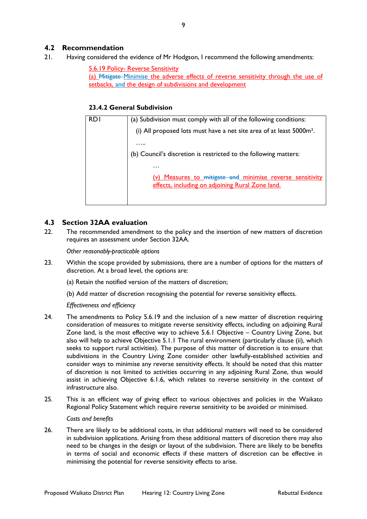### <span id="page-8-0"></span>**4.2 Recommendation**

21. Having considered the evidence of Mr Hodgson, I recommend the following amendments:

5.6.19 Policy- Reverse Sensitivity (a) Mitigate Minimise the adverse effects of reverse sensitivity through the use of setbacks, and the design of subdivisions and development

#### **23.4.2 General Subdivision**

| RD I | (a) Subdivision must comply with all of the following conditions:                                             |
|------|---------------------------------------------------------------------------------------------------------------|
|      | (i) All proposed lots must have a net site area of at least 5000m <sup>2</sup> .                              |
|      |                                                                                                               |
|      | (b) Council's discretion is restricted to the following matters:                                              |
|      | .                                                                                                             |
|      | (v) Measures to mitigate and minimise reverse sensitivity<br>effects, including on adjoining Rural Zone land. |
|      |                                                                                                               |

#### <span id="page-8-1"></span>**4.3 Section 32AA evaluation**

22. The recommended amendment to the policy and the insertion of new matters of discretion requires an assessment under Section 32AA.

*Other reasonably-practicable options* 

23. Within the scope provided by submissions, there are a number of options for the matters of discretion. At a broad level, the options are:

(a) Retain the notified version of the matters of discretion;

(b) Add matter of discretion recognising the potential for reverse sensitivity effects.

#### *Effectiveness and efficiency*

- 24. The amendments to Policy 5.6.19 and the inclusion of a new matter of discretion requiring consideration of measures to mitigate reverse sensitivity effects, including on adjoining Rural Zone land, is the most effective way to achieve 5.6.1 Objective – Country Living Zone, but also will help to achieve Objective 5.1.1 The rural environment (particularly clause (ii), which seeks to support rural activities). The purpose of this matter of discretion is to ensure that subdivisions in the Country Living Zone consider other lawfully-established activities and consider ways to minimise any reverse sensitivity effects. It should be noted that this matter of discretion is not limited to activities occurring in any adjoining Rural Zone, thus would assist in achieving Objective 6.1.6, which relates to reverse sensitivity in the context of infrastructure also.
- 25. This is an efficient way of giving effect to various objectives and policies in the Waikato Regional Policy Statement which require reverse sensitivity to be avoided or minimised.

#### *Costs and benefits*

26. There are likely to be additional costs, in that additional matters will need to be considered in subdivision applications. Arising from these additional matters of discretion there may also need to be changes in the design or layout of the subdivision. There are likely to be benefits in terms of social and economic effects if these matters of discretion can be effective in minimising the potential for reverse sensitivity effects to arise.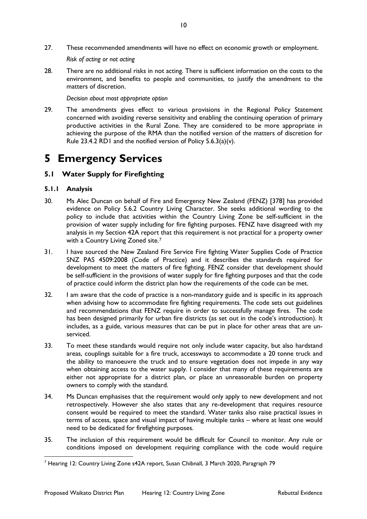*Risk of acting or not acting* 

28. There are no additional risks in not acting. There is sufficient information on the costs to the environment, and benefits to people and communities, to justify the amendment to the matters of discretion.

*Decision about most appropriate option* 

29. The amendments gives effect to various provisions in the Regional Policy Statement concerned with avoiding reverse sensitivity and enabling the continuing operation of primary productive activities in the Rural Zone. They are considered to be more appropriate in achieving the purpose of the RMA than the notified version of the matters of discretion for Rule 23.4.2 RD1 and the notified version of Policy 5.6.3(a)(v).

# <span id="page-9-0"></span>**5 Emergency Services**

### <span id="page-9-1"></span>**5.1 Water Supply for Firefighting**

- 30. Ms Alec Duncan on behalf of Fire and Emergency New Zealand (FENZ) [378] has provided evidence on Policy 5.6.2 Country Living Character. She seeks additional wording to the policy to include that activities within the Country Living Zone be self-sufficient in the provision of water supply including for fire fighting purposes. FENZ have disagreed with my analysis in my Section 42A report that this requirement is not practical for a property owner with a Country Living Zoned site.<sup>7</sup>
- 31. I have sourced the New Zealand Fire Service Fire fighting Water Supplies Code of Practice SNZ PAS 4509:2008 (Code of Practice) and it describes the standards required for development to meet the matters of fire fighting. FENZ consider that development should be self-sufficient in the provisions of water supply for fire fighting purposes and that the code of practice could inform the district plan how the requirements of the code can be met.
- 32. I am aware that the code of practice is a non-mandatory guide and is specific in its approach when advising how to accommodate fire fighting requirements. The code sets out guidelines and recommendations that FENZ require in order to successfully manage fires. The code has been designed primarily for urban fire districts (as set out in the code's introduction). It includes, as a guide, various measures that can be put in place for other areas that are unserviced.
- 33. To meet these standards would require not only include water capacity, but also hardstand areas, couplings suitable for a fire truck, accessways to accommodate a 20 tonne truck and the ability to manoeuvre the truck and to ensure vegetation does not impede in any way when obtaining access to the water supply. I consider that many of these requirements are either not appropriate for a district plan, or place an unreasonable burden on property owners to comply with the standard.
- 34. Ms Duncan emphasises that the requirement would only apply to new development and not retrospectively. However she also states that any re-development that requires resource consent would be required to meet the standard. Water tanks also raise practical issues in terms of access, space and visual impact of having multiple tanks – where at least one would need to be dedicated for firefighting purposes.
- 35. The inclusion of this requirement would be difficult for Council to monitor. Any rule or conditions imposed on development requiring compliance with the code would require

<span id="page-9-2"></span> <sup>7</sup> Hearing 12: Country Living Zone s42A report, Susan Chibnall, 3 March 2020, Paragraph 79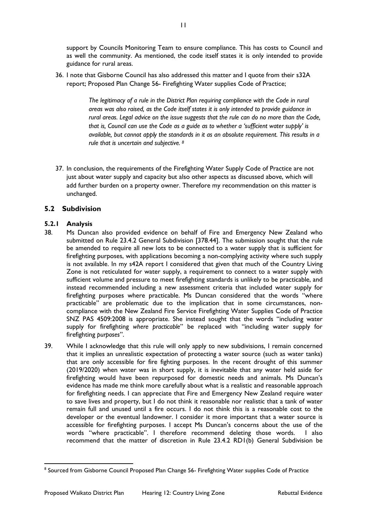support by Councils Monitoring Team to ensure compliance. This has costs to Council and as well the community. As mentioned, the code itself states it is only intended to provide guidance for rural areas.

36. I note that Gisborne Council has also addressed this matter and I quote from their s32A report; Proposed Plan Change 56- Firefighting Water supplies Code of Practice;

> *The legitimacy of a rule in the District Plan requiring compliance with the Code in rural areas was also raised, as the Code itself states it is only intended to provide guidance in rural areas. Legal advice on the issue suggests that the rule can do no more than the Code, that is, Council can use the Code as a guide as to whether a 'sufficient water supply' is available, but cannot apply the standards in it as an absolute requirement. This results in a rule that is uncertain and subjective. [8](#page-10-1)*

37. In conclusion, the requirements of the Firefighting Water Supply Code of Practice are not just about water supply and capacity but also other aspects as discussed above, which will add further burden on a property owner. Therefore my recommendation on this matter is unchanged.

#### <span id="page-10-0"></span>**5.2 Subdivision**

- 38. Ms Duncan also provided evidence on behalf of Fire and Emergency New Zealand who submitted on Rule 23.4.2 General Subdivision [378.44]. The submission sought that the rule be amended to require all new lots to be connected to a water supply that is sufficient for firefighting purposes, with applications becoming a non-complying activity where such supply is not available. In my s42A report I considered that given that much of the Country Living Zone is not reticulated for water supply, a requirement to connect to a water supply with sufficient volume and pressure to meet firefighting standards is unlikely to be practicable, and instead recommended including a new assessment criteria that included water supply for firefighting purposes where practicable. Ms Duncan considered that the words "where practicable" are problematic due to the implication that in some circumstances, noncompliance with the New Zealand Fire Service Firefighting Water Supplies Code of Practice SNZ PAS 4509:2008 is appropriate. She instead sought that the words "including water supply for firefighting *where practicable*" be replaced with "including water supply for firefighting *purposes*".
- 39. While I acknowledge that this rule will only apply to new subdivisions, I remain concerned that it implies an unrealistic expectation of protecting a water source (such as water tanks) that are only accessible for fire fighting purposes. In the recent drought of this summer (2019/2020) when water was in short supply, it is inevitable that any water held aside for firefighting would have been repurposed for domestic needs and animals. Ms Duncan's evidence has made me think more carefully about what is a realistic and reasonable approach for firefighting needs. I can appreciate that Fire and Emergency New Zealand require water to save lives and property, but I do not think it reasonable nor realistic that a tank of water remain full and unused until a fire occurs. I do not think this is a reasonable cost to the developer or the eventual landowner. I consider it more important that a water source is accessible for firefighting purposes. I accept Ms Duncan's concerns about the use of the words "where practicable". I therefore recommend deleting those words. I also recommend that the matter of discretion in Rule 23.4.2 RD1(b) General Subdivision be

<span id="page-10-1"></span> <sup>8</sup> Sourced from Gisborne Council Proposed Plan Change 56- Firefighting Water supplies Code of Practice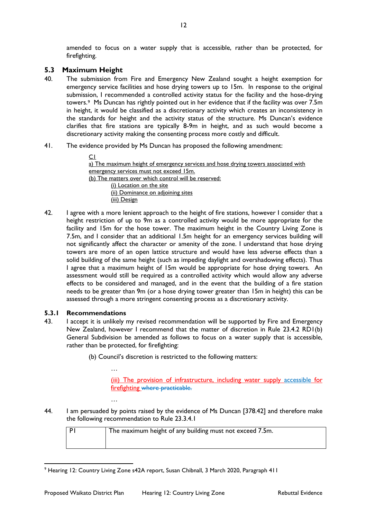amended to focus on a water supply that is accessible, rather than be protected, for firefighting.

### <span id="page-11-0"></span>**5.3 Maximum Height**

- 40. The submission from Fire and Emergency New Zealand sought a height exemption for emergency service facilities and hose drying towers up to 15m. In response to the original submission, I recommended a controlled activity status for the facility and the hose-drying towers.[9](#page-11-1) Ms Duncan has rightly pointed out in her evidence that if the facility was over 7.5m in height, it would be classified as a discretionary activity which creates an inconsistency in the standards for height and the activity status of the structure. Ms Duncan's evidence clarifies that fire stations are typically 8-9m in height, and as such would become a discretionary activity making the consenting process more costly and difficult.
- 41. The evidence provided by Ms Duncan has proposed the following amendment:

C1 a) The maximum height of emergency services and hose drying towers associated with emergency services must not exceed 15m. (b) The matters over which control will be reserved: (i) Location on the site (ii) Dominance on adjoining sites (iii) Design

42. I agree with a more lenient approach to the height of fire stations, however I consider that a height restriction of up to 9m as a controlled activity would be more appropriate for the facility and 15m for the hose tower. The maximum height in the Country Living Zone is 7.5m, and I consider that an additional 1.5m height for an emergency services building will not significantly affect the character or amenity of the zone. I understand that hose drying towers are more of an open lattice structure and would have less adverse effects than a solid building of the same height (such as impeding daylight and overshadowing effects). Thus I agree that a maximum height of 15m would be appropriate for hose drying towers. An assessment would still be required as a controlled activity which would allow any adverse effects to be considered and managed, and in the event that the building of a fire station needs to be greater than 9m (or a hose drying tower greater than 15m in height) this can be assessed through a more stringent consenting process as a discretionary activity.

#### **5.3.1 Recommendations**

…

…

43. I accept it is unlikely my revised recommendation will be supported by Fire and Emergency New Zealand, however I recommend that the matter of discretion in Rule 23.4.2 RD1(b) General Subdivision be amended as follows to focus on a water supply that is accessible, rather than be protected, for firefighting:

(b) Council's discretion is restricted to the following matters:

(iii) The provision of infrastructure, including water supply accessible for firefighting where practicable.

44. I am persuaded by points raised by the evidence of Ms Duncan [378.42] and therefore make the following recommendation to Rule 23.3.4.1

| The maximum height of any building must not exceed 7.5m. |
|----------------------------------------------------------|
|                                                          |

<span id="page-11-1"></span> <sup>9</sup> Hearing 12: Country Living Zone s42A report, Susan Chibnall, 3 March 2020, Paragraph 411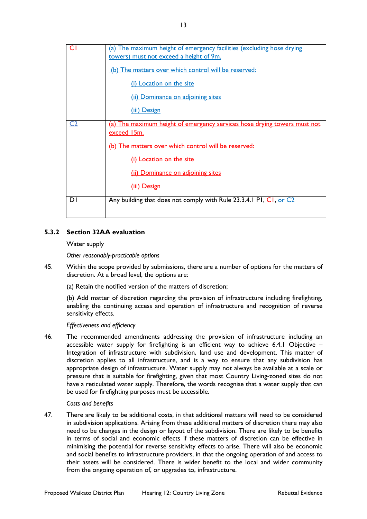|                | (a) The maximum height of emergency facilities (excluding hose drying<br>towers) must not exceed a height of 9m. |  |  |  |  |
|----------------|------------------------------------------------------------------------------------------------------------------|--|--|--|--|
|                | <u>(b) The matters over which control will be reserved:</u>                                                      |  |  |  |  |
|                | (i) Location on the site                                                                                         |  |  |  |  |
|                | (ii) Dominance on adjoining sites                                                                                |  |  |  |  |
|                | (iii) Design                                                                                                     |  |  |  |  |
| C <sub>2</sub> | (a) The maximum height of emergency services hose drying towers must not<br>exceed 15m.                          |  |  |  |  |
|                | (b) The matters over which control will be reserved:                                                             |  |  |  |  |
|                | (i) Location on the site                                                                                         |  |  |  |  |
|                | (ii) Dominance on adjoining sites                                                                                |  |  |  |  |
|                | (iii) Design                                                                                                     |  |  |  |  |
| DΙ             | Any building that does not comply with Rule 23.3.4.1 PI, CI, or C2                                               |  |  |  |  |

### **5.3.2 Section 32AA evaluation**

#### Water supply

*Other reasonably-practicable options* 

- 45. Within the scope provided by submissions, there are a number of options for the matters of discretion. At a broad level, the options are:
	- (a) Retain the notified version of the matters of discretion;

(b) Add matter of discretion regarding the provision of infrastructure including firefighting, enabling the continuing access and operation of infrastructure and recognition of reverse sensitivity effects.

#### *Effectiveness and efficiency*

46. The recommended amendments addressing the provision of infrastructure including an accessible water supply for firefighting is an efficient way to achieve 6.4.1 Objective – Integration of infrastructure with subdivision, land use and development. This matter of discretion applies to all infrastructure, and is a way to ensure that any subdivision has appropriate design of infrastructure. Water supply may not always be available at a scale or pressure that is suitable for firefighting, given that most Country Living-zoned sites do not have a reticulated water supply. Therefore, the words recognise that a water supply that can be used for firefighting purposes must be accessible.

#### *Costs and benefits*

47. There are likely to be additional costs, in that additional matters will need to be considered in subdivision applications. Arising from these additional matters of discretion there may also need to be changes in the design or layout of the subdivision. There are likely to be benefits in terms of social and economic effects if these matters of discretion can be effective in minimising the potential for reverse sensitivity effects to arise. There will also be economic and social benefits to infrastructure providers, in that the ongoing operation of and access to their assets will be considered. There is wider benefit to the local and wider community from the ongoing operation of, or upgrades to, infrastructure.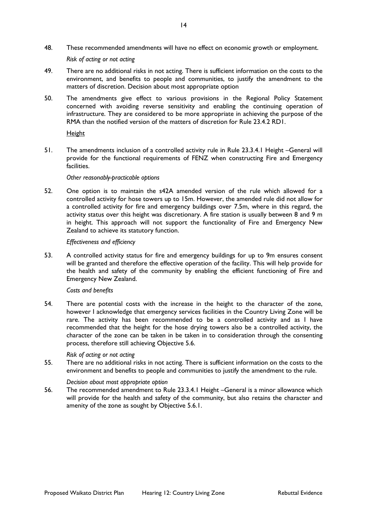48. These recommended amendments will have no effect on economic growth or employment.

*Risk of acting or not acting* 

- 49. There are no additional risks in not acting. There is sufficient information on the costs to the environment, and benefits to people and communities, to justify the amendment to the matters of discretion. Decision about most appropriate option
- 50. The amendments give effect to various provisions in the Regional Policy Statement concerned with avoiding reverse sensitivity and enabling the continuing operation of infrastructure. They are considered to be more appropriate in achieving the purpose of the RMA than the notified version of the matters of discretion for Rule 23.4.2 RD1.

#### Height

51. The amendments inclusion of a controlled activity rule in Rule 23.3.4.1 Height –General will provide for the functional requirements of FENZ when constructing Fire and Emergency facilities.

#### *Other reasonably-practicable options*

52. One option is to maintain the s42A amended version of the rule which allowed for a controlled activity for hose towers up to 15m. However, the amended rule did not allow for a controlled activity for fire and emergency buildings over 7.5m, where in this regard, the activity status over this height was discretionary. A fire station is usually between 8 and 9 m in height. This approach will not support the functionality of Fire and Emergency New Zealand to achieve its statutory function.

#### *Effectiveness and efficiency*

53. A controlled activity status for fire and emergency buildings for up to 9m ensures consent will be granted and therefore the effective operation of the facility. This will help provide for the health and safety of the community by enabling the efficient functioning of Fire and Emergency New Zealand.

#### *Costs and benefits*

54. There are potential costs with the increase in the height to the character of the zone, however I acknowledge that emergency services facilities in the Country Living Zone will be rare. The activity has been recommended to be a controlled activity and as I have recommended that the height for the hose drying towers also be a controlled activity, the character of the zone can be taken in be taken in to consideration through the consenting process, therefore still achieving Objective 5.6.

#### *Risk of acting or not acting*

55. There are no additional risks in not acting. There is sufficient information on the costs to the environment and benefits to people and communities to justify the amendment to the rule.

#### *Decision about most appropriate option*

56. The recommended amendment to Rule 23.3.4.1 Height –General is a minor allowance which will provide for the health and safety of the community, but also retains the character and amenity of the zone as sought by Objective 5.6.1.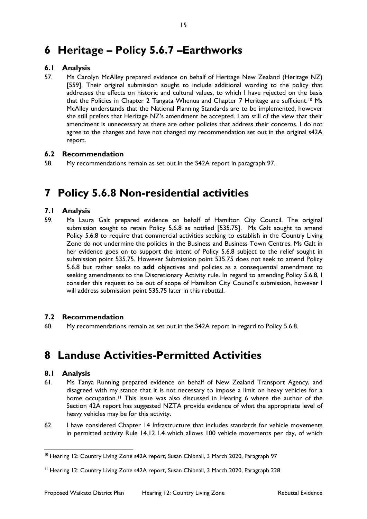# <span id="page-14-0"></span>**6 Heritage – Policy 5.6.7 –Earthworks**

### <span id="page-14-1"></span>**6.1 Analysis**

57. Ms Carolyn McAlley prepared evidence on behalf of Heritage New Zealand (Heritage NZ) [559]. Their original submission sought to include additional wording to the policy that addresses the effects on historic and cultural values, to which I have rejected on the basis that the Policies in Chapter 2 Tangata Whenua and Chapter 7 Heritage are sufficient.<sup>[10](#page-14-8)</sup> Ms McAlley understands that the National Planning Standards are to be implemented, however she still prefers that Heritage NZ's amendment be accepted. I am still of the view that their amendment is unnecessary as there are other policies that address their concerns. I do not agree to the changes and have not changed my recommendation set out in the original s42A report.

### <span id="page-14-2"></span>**6.2 Recommendation**

58. My recommendations remain as set out in the S42A report in paragraph 97.

# <span id="page-14-3"></span>**7 Policy 5.6.8 Non-residential activities**

### <span id="page-14-4"></span>**7.1 Analysis**

59. Ms Laura Galt prepared evidence on behalf of Hamilton City Council. The original submission sought to retain Policy 5.6.8 as notified [535.75]. Ms Galt sought to amend Policy 5.6.8 to require that commercial activities seeking to establish in the Country Living Zone do not undermine the policies in the Business and Business Town Centres. Ms Galt in her evidence goes on to support the intent of Policy 5.6.8 subject to the relief sought in submission point 535.75. However Submission point 535.75 does not seek to amend Policy 5.6.8 but rather seeks to **add** objectives and policies as a consequential amendment to seeking amendments to the Discretionary Activity rule. In regard to amending Policy 5.6.8, I consider this request to be out of scope of Hamilton City Council's submission, however I will address submission point 535.75 later in this rebuttal.

#### <span id="page-14-5"></span>**7.2 Recommendation**

60. My recommendations remain as set out in the S42A report in regard to Policy 5.6.8.

# <span id="page-14-7"></span><span id="page-14-6"></span>**8 Landuse Activities-Permitted Activities**

- 61. Ms Tanya Running prepared evidence on behalf of New Zealand Transport Agency, and disagreed with my stance that it is not necessary to impose a limit on heavy vehicles for a home occupation.<sup>[11](#page-14-9)</sup> This issue was also discussed in Hearing 6 where the author of the Section 42A report has suggested NZTA provide evidence of what the appropriate level of heavy vehicles may be for this activity.
- 62. I have considered Chapter 14 Infrastructure that includes standards for vehicle movements in permitted activity Rule 14.12.1.4 which allows 100 vehicle movements per day, of which

<span id="page-14-8"></span><sup>&</sup>lt;sup>10</sup> Hearing 12: Country Living Zone s42A report, Susan Chibnall, 3 March 2020, Paragraph 97

<span id="page-14-9"></span><sup>11</sup> Hearing 12: Country Living Zone s42A report, Susan Chibnall, 3 March 2020, Paragraph 228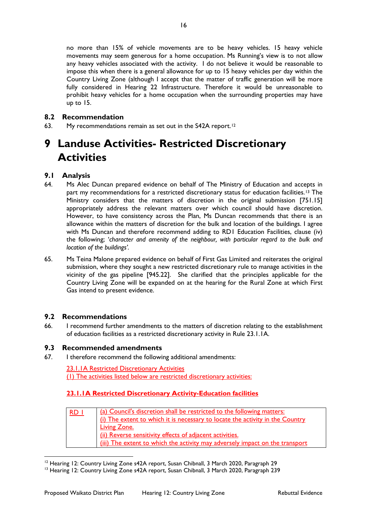no more than 15% of vehicle movements are to be heavy vehicles. 15 heavy vehicle movements may seem generous for a home occupation. Ms Running's view is to not allow any heavy vehicles associated with the activity. I do not believe it would be reasonable to impose this when there is a general allowance for up to 15 heavy vehicles per day within the Country Living Zone (although I accept that the matter of traffic generation will be more fully considered in Hearing 22 Infrastructure. Therefore it would be unreasonable to prohibit heavy vehicles for a home occupation when the surrounding properties may have up to 15.

### <span id="page-15-0"></span>**8.2 Recommendation**

63. My recommendations remain as set out in the S42A report.<sup>[12](#page-15-5)</sup>

# <span id="page-15-1"></span>**9 Landuse Activities- Restricted Discretionary Activities**

### <span id="page-15-2"></span>**9.1 Analysis**

- 64. Ms Alec Duncan prepared evidence on behalf of The Ministry of Education and accepts in part my recommendations for a restricted discretionary status for education facilities.<sup>[13](#page-15-6)</sup> The Ministry considers that the matters of discretion in the original submission [751.15] appropriately address the relevant matters over which council should have discretion. However, to have consistency across the Plan, Ms Duncan recommends that there is an allowance within the matters of discretion for the bulk and location of the buildings. I agree with Ms Duncan and therefore recommend adding to RD1 Education Facilities, clause (iv) the following; '*character and amenity of the neighbour, with particular regard to the bulk and location of the buildings'.*
- 65. Ms Teina Malone prepared evidence on behalf of First Gas Limited and reiterates the original submission, where they sought a new restricted discretionary rule to manage activities in the vicinity of the gas pipeline [945.22]. She clarified that the principles applicable for the Country Living Zone will be expanded on at the hearing for the Rural Zone at which First Gas intend to present evidence.

#### <span id="page-15-3"></span>**9.2 Recommendations**

66. I recommend further amendments to the matters of discretion relating to the establishment of education facilities as a restricted discretionary activity in Rule 23.1.1A.

### <span id="page-15-4"></span>**9.3 Recommended amendments**

67. I therefore recommend the following additional amendments:

23.1.1A Restricted Discretionary Activities (1) The activities listed below are restricted discretionary activities:

### **23.1.1A Restricted Discretionary Activity-Education facilities**

| RD I | (a) Council's discretion shall be restricted to the following matters:        |  |  |  |  |
|------|-------------------------------------------------------------------------------|--|--|--|--|
|      | (i) The extent to which it is necessary to locate the activity in the Country |  |  |  |  |
|      | <b>Living Zone.</b>                                                           |  |  |  |  |
|      | (ii) Reverse sensitivity effects of adjacent activities.                      |  |  |  |  |
|      | (iii) The extent to which the activity may adversely impact on the transport  |  |  |  |  |

<sup>&</sup>lt;sup>12</sup> Hearing 12: Country Living Zone s42A report, Susan Chibnall, 3 March 2020, Paragraph 29

<span id="page-15-6"></span><span id="page-15-5"></span><sup>&</sup>lt;sup>13</sup> Hearing 12: Country Living Zone s42A report, Susan Chibnall, 3 March 2020, Paragraph 239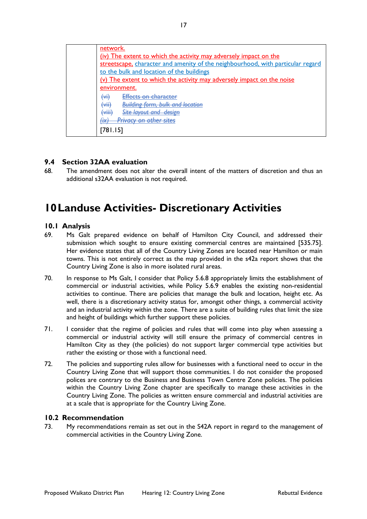| network.                                                                        |
|---------------------------------------------------------------------------------|
| (iv) The extent to which the activity may adversely impact on the               |
| streetscape, character and amenity of the neighbourhood, with particular regard |
| to the bulk and location of the buildings                                       |
| (v) The extent to which the activity may adversely impact on the noise          |
| environment.                                                                    |
| $\overline{(\forall i)}$<br>Effects on character                                |
| <b>Building form, bulk and location</b><br>لننبيك<br>۳m                         |
| ۱:تنہ)<br><del>Site layout and design</del><br>$\overline{\phantom{a}}$         |
| Privacy on other sites<br>l iv.<br><b>TA</b>                                    |
| 781.151                                                                         |
|                                                                                 |

### <span id="page-16-0"></span>**9.4 Section 32AA evaluation**

68. The amendment does not alter the overall intent of the matters of discretion and thus an additional s32AA evaluation is not required.

# <span id="page-16-1"></span>**10Landuse Activities- Discretionary Activities**

#### <span id="page-16-2"></span>**10.1 Analysis**

- 69. Ms Galt prepared evidence on behalf of Hamilton City Council, and addressed their submission which sought to ensure existing commercial centres are maintained [535.75]. Her evidence states that all of the Country Living Zones are located near Hamilton or main towns. This is not entirely correct as the map provided in the s42a report shows that the Country Living Zone is also in more isolated rural areas.
- 70. In response to Ms Galt, I consider that Policy 5.6.8 appropriately limits the establishment of commercial or industrial activities, while Policy 5.6.9 enables the existing non-residential activities to continue. There are policies that manage the bulk and location, height etc. As well, there is a discretionary activity status for, amongst other things, a commercial activity and an industrial activity within the zone. There are a suite of building rules that limit the size and height of buildings which further support these policies.
- 71. I consider that the regime of policies and rules that will come into play when assessing a commercial or industrial activity will still ensure the primacy of commercial centres in Hamilton City as they (the policies) do not support larger commercial type activities but rather the existing or those with a functional need.
- 72. The policies and supporting rules allow for businesses with a functional need to occur in the Country Living Zone that will support those communities. I do not consider the proposed polices are contrary to the Business and Business Town Centre Zone policies. The policies within the Country Living Zone chapter are specifically to manage these activities in the Country Living Zone. The policies as written ensure commercial and industrial activities are at a scale that is appropriate for the Country Living Zone.

#### <span id="page-16-3"></span>**10.2 Recommendation**

73. My recommendations remain as set out in the S42A report in regard to the management of commercial activities in the Country Living Zone.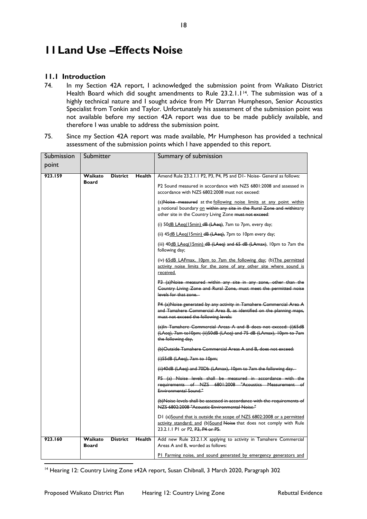# <span id="page-17-0"></span>**11Land Use –Effects Noise**

### <span id="page-17-1"></span>**11.1 Introduction**

- 74. In my Section 42A report, I acknowledged the submission point from Waikato District Health Board which did sought amendments to Rule 23.2.1.1<sup>14</sup>. The submission was of a highly technical nature and I sought advice from Mr Darran Humpheson, Senior Acoustics Specialist from Tonkin and Taylor. Unfortunately his assessment of the submission point was not available before my section 42A report was due to be made publicly available, and therefore I was unable to address the submission point.
- 75. Since my Section 42A report was made available, Mr Humpheson has provided a technical assessment of the submission points which I have appended to this report.

| Submission | Submitter               |                 |               | Summary of submission                                                                                                                                                                                    |
|------------|-------------------------|-----------------|---------------|----------------------------------------------------------------------------------------------------------------------------------------------------------------------------------------------------------|
| point      |                         |                 |               |                                                                                                                                                                                                          |
| 923.159    | Waikato                 | <b>District</b> | Health        | Amend Rule 23.2.1.1 P2, P3, P4, P5 and D1- Noise- General as follows:                                                                                                                                    |
|            | <b>Board</b>            |                 |               | P2 Sound measured in accordance with NZS 6801:2008 and assessed in<br>accordance with NZS 6802:2008 must not exceed:                                                                                     |
|            |                         |                 |               | (a) Noise measured at the following noise limits at any point within<br>a notional boundary on within any site in the Rural Zone and withinany<br>other site in the Country Living Zone must not exceed: |
|            |                         |                 |               | (i) $50\overline{dB}$ LAeg(15min) $dB$ (LAeg), 7am to 7pm, every day;                                                                                                                                    |
|            |                         |                 |               | (ii) $45\underline{dB}$ LAeg(15min) $dB$ (LAeg), 7pm to 10pm every day;                                                                                                                                  |
|            |                         |                 |               | (iii) $40dB$ LAeg(15min) $dB$ (LAeg) and 65 dB (LAmax), 10pm to 7am the<br>following day;                                                                                                                |
|            |                         |                 |               | (iv) 65dB LAFmax, 10pm to 7am the following day; (b) The permitted<br>activity noise limits for the zone of any other site where sound is<br>received.                                                   |
|            |                         |                 |               | P3 (a)Noise measured within any site in any zone, other than the<br>Country Living Zone and Rural Zone, must meet the permitted noise<br>levels for that zone.                                           |
|            |                         |                 |               | P4 (a)Noise generated by any activity in Tamahere Commercial Area A<br>and Tamahere Commercial Area B, as identified on the planning maps,<br>must not exceed the following levels:                      |
|            |                         |                 |               | $(a)$ In Tamahere Commercial Areas A and B does not exceed: $(i)$ 65dB<br>(LAeq), 7am to IOpm; (ii) 50dB (LAeq) and 75 dB (LAmax), IOpm to 7am<br>the following day,                                     |
|            |                         |                 |               | (b) Outside Tamahere Commercial Areas A and B, does not exceed:                                                                                                                                          |
|            |                         |                 |               | $(i)$ 55dB (LAeq), 7am to 10pm;                                                                                                                                                                          |
|            |                         |                 |               | (ii) 40dB (LAeq) and 70Db (LAmax), 10pm to 7am the following day.                                                                                                                                        |
|            |                         |                 |               | $P5$ (a) Noise levels shall be measured in accordance with the<br>requirements of NZS 6801:2008 "Acoustics Measurement of<br><b>Environmental Sound."</b>                                                |
|            |                         |                 |               | (b)Noise levels shall be assessed in accordance with the requirements of<br>NZS 6802:2008 "Acoustic Environmental Noise."                                                                                |
|            |                         |                 |               | D1 (a) Sound that is outside the scope of NZS 6802:2008 or a permitted<br>activity standard; and (b)Sound Noise that does not comply with Rule<br>23.2.1.1 P1 or P2, P3, P4 or P5.                       |
| 923.160    | Waikato<br><b>Board</b> | <b>District</b> | <b>Health</b> | Add new Rule 23.2.1.X applying to activity in Tamahere Commercial<br>Areas A and B, worded as follows:                                                                                                   |
|            |                         |                 |               | PI Farming noise, and sound generated by emergency generators and                                                                                                                                        |

<span id="page-17-2"></span><sup>14</sup> Hearing 12: Country Living Zone s42A report, Susan Chibnall, 3 March 2020, Paragraph 302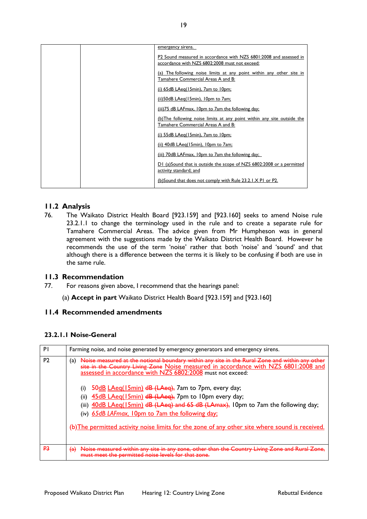|  | emergency sirens.                                                       |
|--|-------------------------------------------------------------------------|
|  | P2 Sound measured in accordance with NZS 6801:2008 and assessed in      |
|  | accordance with NZS 6802:2008 must not exceed:                          |
|  | (a) The following noise limits at any point within any other site in    |
|  | Tamahere Commercial Areas A and B:                                      |
|  | (i) $65dB$ LAeg(15min), 7am to 10pm;                                    |
|  | (ii) 50dB LAeg(15min), 10pm to 7am;                                     |
|  | (iii) 75 dB LAFmax, 10pm to 7am the following day;                      |
|  | (b) The following noise limits at any point within any site outside the |
|  | Tamahere Commercial Areas A and B:                                      |
|  | (i) $55dB$ LAeg(15min), 7am to 10pm;                                    |
|  | (ii) 40dB LAeg(15min), 10pm to 7am;                                     |
|  | (iii) 70dB LAFmax, 10pm to 7am the following day;                       |
|  | D1 (a)Sound that is outside the scope of NZS 6802:2008 or a permitted   |
|  | activity standard; and                                                  |
|  | (b)Sound that does not comply with Rule 23.2.1.X P1 or P2.              |

### <span id="page-18-0"></span>**11.2 Analysis**

76. The Waikato District Health Board [923.159] and [923.160] seeks to amend Noise rule 23.2.1.1 to change the terminology used in the rule and to create a separate rule for Tamahere Commercial Areas. The advice given from Mr Humpheson was in general agreement with the suggestions made by the Waikato District Health Board. However he recommends the use of the term 'noise' rather that both 'noise' and 'sound' and that although there is a difference between the terms it is likely to be confusing if both are use in the same rule.

#### <span id="page-18-1"></span>**11.3 Recommendation**

- 77. For reasons given above, I recommend that the hearings panel:
	- (a) **Accept in part** Waikato District Health Board [923.159] and [923.160]

#### <span id="page-18-2"></span>**11.4 Recommended amendments**

#### **23.2.1.1 Noise-General**

| PI             | Farming noise, and noise generated by emergency generators and emergency sirens.                                                                                                                                                                                                                                                                                                                                                                                                                                                                                                                                      |
|----------------|-----------------------------------------------------------------------------------------------------------------------------------------------------------------------------------------------------------------------------------------------------------------------------------------------------------------------------------------------------------------------------------------------------------------------------------------------------------------------------------------------------------------------------------------------------------------------------------------------------------------------|
| P <sub>2</sub> | Noise measured at the notional boundary within any site in the Rural Zone and within any other<br>(a)<br>site in the Country Living Zone Noise measured in accordance with NZS 6801:2008 and assessed in accordance with NZS 6802:2008 must not exceed:<br>50dB LAeg(15min) dB (LAeg), 7am to 7pm, every day;<br>(ii) 45dB LAeq(15min) dB (LAeq), 7pm to 10pm every day;<br>(iii) 40dB LAeq(15min) dB (LAeq) and 65 dB (LAmax), 10pm to 7am the following day;<br>(iv) 65dB LAFmax, 10pm to 7am the following day;<br>(b) The permitted activity noise limits for the zone of any other site where sound is received. |
| <u>P3</u>      | n any zone, other than the Country Living Zone and Rura<br>$\overline{a}$                                                                                                                                                                                                                                                                                                                                                                                                                                                                                                                                             |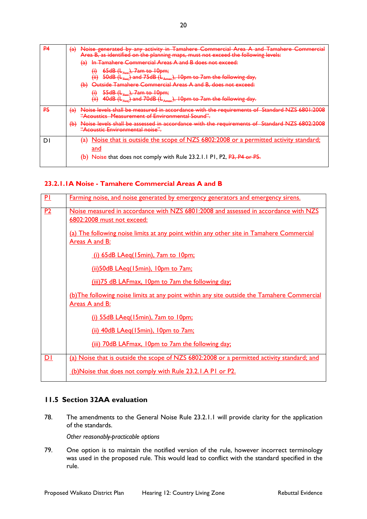| <b>P4</b> | $\leftrightarrow$<br>Noise generated by any activity in Tamahere Commerc<br>ahara Cammarcia<br>Area B, as identified on the planning maps, must not exceed the following levels:<br>In Tamahere Commercial Areas A and B does not exceed:<br><del>(a)</del> |
|-----------|-------------------------------------------------------------------------------------------------------------------------------------------------------------------------------------------------------------------------------------------------------------|
|           | $65dB$ ( $L_{Aee}$ ), 7am to 10pm;<br>Δ<br>٣ij<br>(ii)<br>$50$ dB ( $L_{Aeq}$ ) and 75dB ( $L_{Amax}$ ), 10pm to 7am the following day,                                                                                                                     |
|           | Outside Tamahere Commercial Areas A and B, does not exceed:<br><del>(b)</del>                                                                                                                                                                               |
|           | $55dB$ ( $E_{\text{Aeg}}$ ), 7am to 10pm;<br>₩<br>(H)<br>$40$ dB ( $L_{Aeq}$ ) and 70dB ( $L_{Amax}$ ), 10pm to 7am the following day.                                                                                                                      |
| P5        | $\left( a\right)$<br>accordance with the requirements<br><del>accordance with the regulierments</del><br>v                                                                                                                                                  |
|           | $\leftrightarrow$<br>Noise levels shall be assessed in accordance with the requirements of Standard NZS 6802:7<br><del>"Acoustic Environmental noise".</del>                                                                                                |
| D.        | Noise that is outside the scope of NZS 6802:2008 or a permitted activity standard;<br>a<br>and                                                                                                                                                              |
|           | (b) Noise that does not comply with Rule 23.2.1.1 P1, P2, P3, P4 or P5.                                                                                                                                                                                     |

#### **23.2.1.1A Noise - Tamahere Commercial Areas A and B**

| PL             | Farming noise, and noise generated by emergency generators and emergency sirens.                                     |
|----------------|----------------------------------------------------------------------------------------------------------------------|
| P2             | Noise measured in accordance with NZS 6801:2008 and assessed in accordance with NZS<br>6802:2008 must not exceed:    |
|                | (a) The following noise limits at any point within any other site in Tamahere Commercial<br>Areas A and B:           |
|                | (i) 65dB LAeq(15min), 7am to 10pm;                                                                                   |
|                | (ii) 50dB LAeq(15min), 10pm to 7am;                                                                                  |
|                | (iii) 75 dB LAFmax, 10pm to 7am the following day;                                                                   |
|                | (b) The following noise limits at any point within any site outside the Tamahere Commercial<br><u>Areas A and B:</u> |
|                | (i) 55dB LAeq(15min), 7am to 10pm;                                                                                   |
|                | (ii) 40dB LAeq(15min), 10pm to 7am;                                                                                  |
|                | (iii) 70dB LAFmax, 10pm to 7am the following day;                                                                    |
| D <sub>1</sub> | (a) Noise that is outside the scope of NZS 6802:2008 or a permitted activity standard; and                           |
|                | (b)Noise that does not comply with Rule 23.2.1.A P1 or P2.                                                           |

#### <span id="page-19-0"></span>**11.5 Section 32AA evaluation**

78. The amendments to the General Noise Rule 23.2.1.1 will provide clarity for the application of the standards.

*Other reasonably-practicable options*

79. One option is to maintain the notified version of the rule, however incorrect terminology was used in the proposed rule. This would lead to conflict with the standard specified in the rule.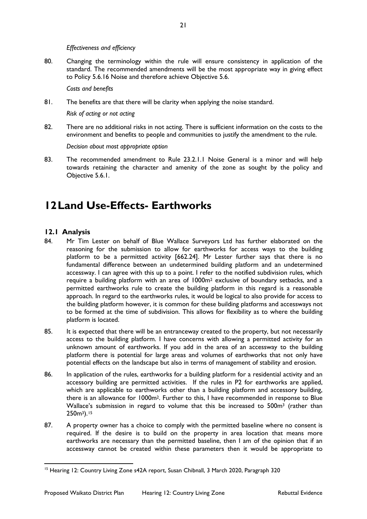*Effectiveness and efficiency*

80. Changing the terminology within the rule will ensure consistency in application of the standard. The recommended amendments will be the most appropriate way in giving effect to Policy 5.6.16 Noise and therefore achieve Objective 5.6.

*Costs and benefits*

81. The benefits are that there will be clarity when applying the noise standard.

*Risk of acting or not acting* 

82. There are no additional risks in not acting. There is sufficient information on the costs to the environment and benefits to people and communities to justify the amendment to the rule.

*Decision about most appropriate option* 

83. The recommended amendment to Rule 23.2.1.1 Noise General is a minor and will help towards retaining the character and amenity of the zone as sought by the policy and Objective 5.6.1.

# <span id="page-20-0"></span>**12Land Use-Effects- Earthworks**

- <span id="page-20-1"></span>84. Mr Tim Lester on behalf of Blue Wallace Surveyors Ltd has further elaborated on the reasoning for the submission to allow for earthworks for access ways to the building platform to be a permitted activity [662.24]. Mr Lester further says that there is no fundamental difference between an undetermined building platform and an undetermined accessway. I can agree with this up to a point. I refer to the notified subdivision rules, which require a building platform with an area of 1000m2 exclusive of boundary setbacks, and a permitted earthworks rule to create the building platform in this regard is a reasonable approach. In regard to the earthworks rules, it would be logical to also provide for access to the building platform however, it is common for these building platforms and accessways not to be formed at the time of subdivision. This allows for flexibility as to where the building platform is located.
- 85. It is expected that there will be an entranceway created to the property, but not necessarily access to the building platform. I have concerns with allowing a permitted activity for an unknown amount of earthworks. If you add in the area of an accessway to the building platform there is potential for large areas and volumes of earthworks that not only have potential effects on the landscape but also in terms of management of stability and erosion.
- 86. In application of the rules, earthworks for a building platform for a residential activity and an accessory building are permitted activities. If the rules in P2 for earthworks are applied, which are applicable to earthworks other than a building platform and accessory building, there is an allowance for 1000m2. Further to this, I have recommended in response to Blue Wallace's submission in regard to volume that this be increased to 500m3 (rather than 250m3).[15](#page-20-2)
- 87. A property owner has a choice to comply with the permitted baseline where no consent is required. If the desire is to build on the property in area location that means more earthworks are necessary than the permitted baseline, then I am of the opinion that if an accessway cannot be created within these parameters then it would be appropriate to

<span id="page-20-2"></span><sup>&</sup>lt;sup>15</sup> Hearing 12: Country Living Zone s42A report, Susan Chibnall, 3 March 2020, Paragraph 320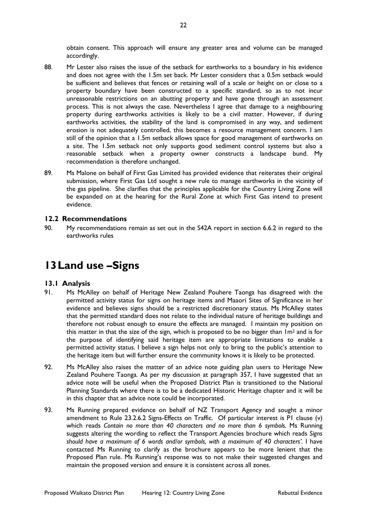obtain consent. This approach will ensure any greater area and volume can be managed accordingly.

- 88. Mr Lester also raises the issue of the setback for earthworks to a boundary in his evidence and does not agree with the 1.5m set back. Mr Lester considers that a 0.5m setback would be sufficient and believes that fences or retaining wall of a scale or height on or close to a property boundary have been constructed to a specific standard, so as to not incur unreasonable restrictions on an abutting property and have gone through an assessment process. This is not always the case. Nevertheless I agree that damage to a neighbouring property during earthworks activities is likely to be a civil matter. However, if during earthworks activities, the stability of the land is compromised in any way, and sediment erosion is not adequately controlled, this becomes a resource management concern. I am still of the opinion that a 1.5m setback allows space for good management of earthworks on a site. The 1.5m setback not only supports good sediment control systems but also a reasonable setback when a property owner constructs a landscape bund. My recommendation is therefore unchanged.
- 89. Ms Malone on behalf of First Gas Limited has provided evidence that reiterates their original submission, where First Gas Ltd sought a new rule to manage earthworks in the vicinity of the gas pipeline. She clarifies that the principles applicable for the Country Living Zone will be expanded on at the hearing for the Rural Zone at which First Gas intend to present evidence.

#### <span id="page-21-0"></span>**12.2 Recommendations**

90. My recommendations remain as set out in the S42A report in section 6.6.2 in regard to the earthworks rules

# <span id="page-21-2"></span><span id="page-21-1"></span>**13Land use –Signs**

- 91. Ms McAlley on behalf of Heritage New Zealand Pouhere Taonga has disagreed with the permitted activity status for signs on heritage items and Maaori Sites of Significance in her evidence and believes signs should be a restricted discretionary status. Ms McAlley states that the permitted standard does not relate to the individual nature of heritage buildings and therefore not robust enough to ensure the effects are managed. I maintain my position on this matter in that the size of the sign, which is proposed to be no bigger than  $Im<sup>2</sup>$  and is for the purpose of identifying said heritage item are appropriate limitations to enable a permitted activity status. I believe a sign helps not only to bring to the public's attention to the heritage item but will further ensure the community knows it is likely to be protected.
- 92. Ms McAlley also raises the matter of an advice note guiding plan users to Heritage New Zealand Pouhere Taonga. As per my discussion at paragraph 357, I have suggested that an advice note will be useful when the Proposed District Plan is transitioned to the National Planning Standards where there is to be a dedicated Historic Heritage chapter and it will be in this chapter that an advice note could be incorporated.
- 93. Ms Running prepared evidence on behalf of NZ Transport Agency and sought a minor amendment to Rule 23.2.6.2 Signs-Effects on Traffic. Of particular interest is P1 clause (v) which reads *Contain no more than 40 characters and no more than 6 symbols.* Ms Running suggests altering the wording to reflect the Transport Agencies brochure which reads *Signs*  should have a maximum of 6 words and/or symbols, with a maximum of 40 characters'. I have contacted Ms Running to clarify as the brochure appears to be more lenient that the Proposed Plan rule. Ms Running's response was to not make their suggested changes and maintain the proposed version and ensure it is consistent across all zones.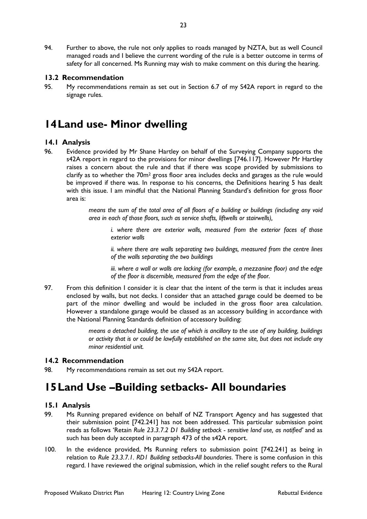94. Further to above, the rule not only applies to roads managed by NZTA, but as well Council managed roads and I believe the current wording of the rule is a better outcome in terms of safety for all concerned. Ms Running may wish to make comment on this during the hearing.

#### <span id="page-22-0"></span>**13.2 Recommendation**

95. My recommendations remain as set out in Section 6.7 of my S42A report in regard to the signage rules.

# <span id="page-22-1"></span>**14Land use- Minor dwelling**

#### <span id="page-22-2"></span>**14.1 Analysis**

96. Evidence provided by Mr Shane Hartley on behalf of the Surveying Company supports the s42A report in regard to the provisions for minor dwellings [746.117]. However Mr Hartley raises a concern about the rule and that if there was scope provided by submissions to clarify as to whether the  $70m^2$  gross floor area includes decks and garages as the rule would be improved if there was. In response to his concerns, the Definitions hearing 5 has dealt with this issue. I am mindful that the National Planning Standard's definition for gross floor area is:

> *means the sum of the total area of all floors of a building or buildings (including any void area in each of those floors, such as service shafts, liftwells or stairwells),*

*i. where there are exterior walls, measured from the exterior faces of those exterior walls* 

*ii. where there are walls separating two buildings, measured from the centre lines of the walls separating the two buildings* 

*iii. where a wall or walls are lacking (for example, a mezzanine floor) and the edge of the floor is discernible, measured from the edge of the floor.*

97. From this definition I consider it is clear that the intent of the term is that it includes areas enclosed by walls, but not decks. I consider that an attached garage could be deemed to be part of the minor dwelling and would be included in the gross floor area calculation. However a standalone garage would be classed as an accessory building in accordance with the National Planning Standards definition of accessory building:

> *means a detached building, the use of which is ancillary to the use of any building, buildings or activity that is or could be lawfully established on the same site, but does not include any minor residential unit.*

#### <span id="page-22-3"></span>**14.2 Recommendation**

<span id="page-22-4"></span>98. My recommendations remain as set out my S42A report.

# <span id="page-22-5"></span>**15Land Use –Building setbacks- All boundaries**

- 99. Ms Running prepared evidence on behalf of NZ Transport Agency and has suggested that their submission point [742.241] has not been addressed. This particular submission point reads as follows 'Retain *Rule 23.3.7.2 D1 Building setback - sensitive land use, as notified'* and as such has been duly accepted in paragraph 473 of the s42A report.
- 100. In the evidence provided, Ms Running refers to submission point [742.241] as being in relation to *Rule 23.3.7.1. RD1 Building setbacks-All boundaries*. There is some confusion in this regard. I have reviewed the original submission, which in the relief sought refers to the Rural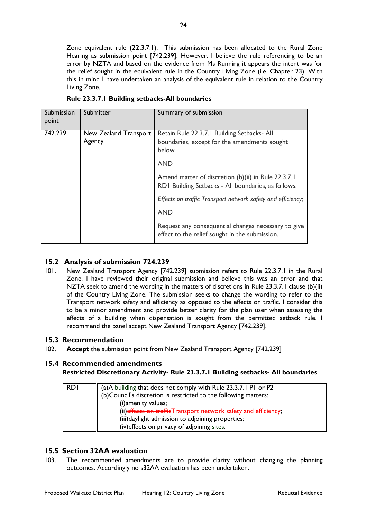Zone equivalent rule (**22.**3.7.1). This submission has been allocated to the Rural Zone Hearing as submission point [742.239]. However, I believe the rule referencing to be an error by NZTA and based on the evidence from Ms Running it appears the intent was for the relief sought in the equivalent rule in the Country Living Zone (i.e. Chapter 23). With this in mind I have undertaken an analysis of the equivalent rule in relation to the Country Living Zone.

| Submission<br>point | Submitter                       | Summary of submission                                                                                      |
|---------------------|---------------------------------|------------------------------------------------------------------------------------------------------------|
| 742.239             | New Zealand Transport<br>Agency | Retain Rule 22.3.7.1 Building Setbacks- All<br>boundaries, except for the amendments sought<br>below       |
|                     |                                 | <b>AND</b>                                                                                                 |
|                     |                                 | Amend matter of discretion (b)(ii) in Rule 22.3.7.1<br>RD1 Building Setbacks - All boundaries, as follows: |
|                     |                                 | Effects on traffic Transport network safety and efficiency;                                                |
|                     |                                 | <b>AND</b>                                                                                                 |
|                     |                                 | Request any consequential changes necessary to give<br>effect to the relief sought in the submission.      |

**Rule 23.3.7.1 Building setbacks-All boundaries**

### <span id="page-23-0"></span>**15.2 Analysis of submission 724.239**

101. New Zealand Transport Agency [742.239] submission refers to Rule 22.3.7.1 in the Rural Zone. I have reviewed their original submission and believe this was an error and that NZTA seek to amend the wording in the matters of discretions in Rule 23.3.7.1 clause (b)(ii) of the Country Living Zone. The submission seeks to change the wording to refer to the Transport network safety and efficiency as opposed to the effects on traffic. I consider this to be a minor amendment and provide better clarity for the plan user when assessing the effects of a building when dispensation is sought from the permitted setback rule. I recommend the panel accept New Zealand Transport Agency [742.239].

### <span id="page-23-1"></span>**15.3 Recommendation**

102. **Accept** the submission point from New Zealand Transport Agency [742.239]

### <span id="page-23-2"></span>**15.4 Recommended amendments**

**Restricted Discretionary Activity- Rule 23.3.7.1 Building setbacks- All boundaries**

| <b>RDI</b> | (a)A building that does not comply with Rule 23.3.7.1 P1 or P2<br>(b) Council's discretion is restricted to the following matters:<br>(i) amenity values;            |
|------------|----------------------------------------------------------------------------------------------------------------------------------------------------------------------|
|            | (ii) effects on traffic Transport network safety and efficiency;<br>(iii) daylight admission to adjoining properties;<br>(iv) effects on privacy of adjoining sites. |

### <span id="page-23-3"></span>**15.5 Section 32AA evaluation**

103. The recommended amendments are to provide clarity without changing the planning outcomes. Accordingly no s32AA evaluation has been undertaken.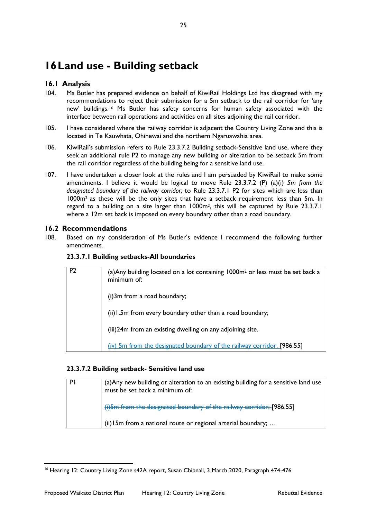# <span id="page-24-0"></span>**16Land use - Building setback**

## <span id="page-24-1"></span>**16.1 Analysis**

- 104. Ms Butler has prepared evidence on behalf of KiwiRail Holdings Ltd has disagreed with my recommendations to reject their submission for a 5m setback to the rail corridor for 'any new' buildings.[16](#page-24-3) Ms Butler has safety concerns for human safety associated with the interface between rail operations and activities on all sites adjoining the rail corridor.
- 105. I have considered where the railway corridor is adjacent the Country Living Zone and this is located in Te Kauwhata, Ohinewai and the northern Ngaruawahia area.
- 106. KiwiRail's submission refers to Rule 23.3.7.2 Building setback-Sensitive land use, where they seek an additional rule P2 to manage any new building or alteration to be setback 5m from the rail corridor regardless of the building being for a sensitive land use.
- 107. I have undertaken a closer look at the rules and I am persuaded by KiwiRail to make some amendments. I believe it would be logical to move Rule 23.3.7.2 (P) (a)(i) *5m from the designated [boundary](http://districtplan.waidc.govt.nz/common/user/contentlink.aspx?sid=36982) of the railway corridor;* to Rule 23.3.7.1 P2 for sites which are less than 1000m2 as these will be the only sites that have a setback requirement less than 5m. In regard to a building on a site larger than 1000m2, this will be captured by Rule 23.3.7.1 where a 12m set back is imposed on every boundary other than a road boundary.

### <span id="page-24-2"></span>**16.2 Recommendations**

108. Based on my consideration of Ms Butler's evidence I recommend the following further amendments.

|  |  | 23.3.7.1 Building setbacks-All boundaries |  |
|--|--|-------------------------------------------|--|
|--|--|-------------------------------------------|--|

| P? | (a) Any building located on a lot containing 1000m <sup>2</sup> or less must be set back a<br>minimum of: |
|----|-----------------------------------------------------------------------------------------------------------|
|    | (i)3m from a road boundary;                                                                               |
|    | (ii) I.5m from every boundary other than a road boundary;                                                 |
|    | (iii)24m from an existing dwelling on any adjoining site.                                                 |
|    | (iv) 5m from the designated boundary of the railway corridor. [986.55]                                    |

#### **23.3.7.2 Building setback- Sensitive land use**

| PI | (a) Any new building or alteration to an existing building for a sensitive land use<br>must be set back a minimum of: |
|----|-----------------------------------------------------------------------------------------------------------------------|
|    | (i) 5m from the designated boundary of the railway corridor; [986.55]                                                 |
|    | (ii) $15m$ from a national route or regional arterial boundary;                                                       |

<span id="page-24-3"></span><sup>&</sup>lt;sup>16</sup> Hearing 12: Country Living Zone s42A report, Susan Chibnall, 3 March 2020, Paragraph 474-476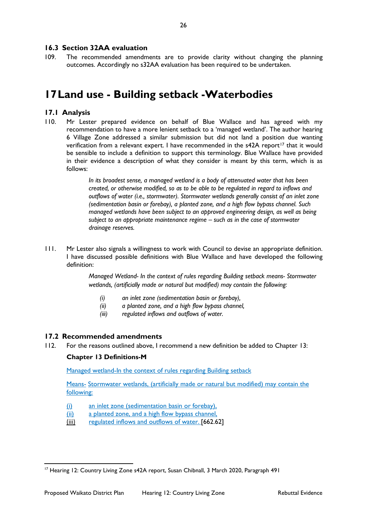#### <span id="page-25-0"></span>**16.3 Section 32AA evaluation**

109. The recommended amendments are to provide clarity without changing the planning outcomes. Accordingly no s32AA evaluation has been required to be undertaken.

# <span id="page-25-1"></span>**17Land use - Building setback -Waterbodies**

#### <span id="page-25-2"></span>**17.1 Analysis**

110. Mr Lester prepared evidence on behalf of Blue Wallace and has agreed with my recommendation to have a more lenient setback to a 'managed wetland'. The author hearing 6 Village Zone addressed a similar submission but did not land a position due wanting verification from a relevant expert. I have recommended in the s42A report<sup>[17](#page-25-4)</sup> that it would be sensible to include a definition to support this terminology. Blue Wallace have provided in their evidence a description of what they consider is meant by this term, which is as follows:

> *In its broadest sense, a managed wetland is a body of attenuated water that has been created, or otherwise modified, so as to be able to be regulated in regard to inflows and outflows of water (i.e., stormwater). Stormwater wetlands generally consist of an inlet zone (sedimentation basin or forebay), a planted zone, and a high flow bypass channel. Such managed wetlands have been subject to an approved engineering design, as well as being subject to an appropriate maintenance regime – such as in the case of stormwater drainage reserves.*

111. Mr Lester also signals a willingness to work with Council to devise an appropriate definition. I have discussed possible definitions with Blue Wallace and have developed the following definition:

> *Managed Wetland- In the context of rules regarding Building setback means- Stormwater wetlands, (artificially made or natural but modified) may contain the following:*

- *(i) an inlet zone (sedimentation basin or forebay),*
- *(ii) a planted zone, and a high flow bypass channel,*
- *(iii) regulated inflows and outflows of water.*

#### <span id="page-25-3"></span>**17.2 Recommended amendments**

112. For the reasons outlined above, I recommend a new definition be added to Chapter 13:

#### **Chapter 13 Definitions-M**

Managed wetland-In the context of rules regarding Building setback

Means- Stormwater wetlands, (artificially made or natural but modified) may contain the following:

- (i) an inlet zone (sedimentation basin or forebay),
- (ii) a planted zone, and a high flow bypass channel,
- (iii) regulated inflows and outflows of water. [662.62]

<span id="page-25-4"></span><sup>&</sup>lt;sup>17</sup> Hearing 12: Country Living Zone s42A report, Susan Chibnall, 3 March 2020, Paragraph 491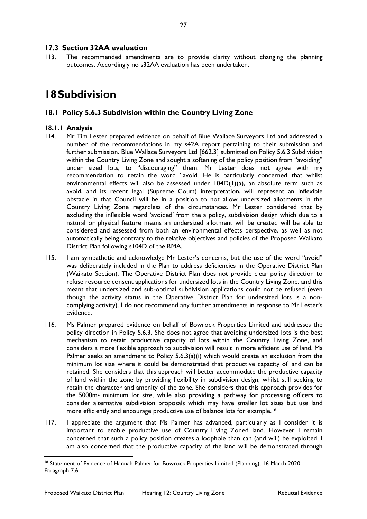#### <span id="page-26-0"></span>**17.3 Section 32AA evaluation**

113. The recommended amendments are to provide clarity without changing the planning outcomes. Accordingly no s32AA evaluation has been undertaken.

## <span id="page-26-1"></span>**18Subdivision**

#### <span id="page-26-2"></span>**18.1 Policy 5.6.3 Subdivision within the Country Living Zone**

- 114. Mr Tim Lester prepared evidence on behalf of Blue Wallace Surveyors Ltd and addressed a number of the recommendations in my s42A report pertaining to their submission and further submission. Blue Wallace Surveyors Ltd [662.3] submitted on Policy 5.6.3 Subdivision within the Country Living Zone and sought a softening of the policy position from "avoiding" under sized lots, to "discouraging" them. Mr Lester does not agree with my recommendation to retain the word "avoid. He is particularly concerned that whilst environmental effects will also be assessed under 104D(1)(a), an absolute term such as avoid, and its recent legal (Supreme Court) interpretation, will represent an inflexible obstacle in that Council will be in a position to not allow undersized allotments in the Country Living Zone regardless of the circumstances. Mr Lester considered that by excluding the inflexible word 'avoided' from the a policy, subdivision design which due to a natural or physical feature means an undersized allotment will be created will be able to considered and assessed from both an environmental effects perspective, as well as not automatically being contrary to the relative objectives and policies of the Proposed Waikato District Plan following s104D of the RMA.
- 115. I am sympathetic and acknowledge Mr Lester's concerns, but the use of the word "avoid" was deliberately included in the Plan to address deficiencies in the Operative District Plan (Waikato Section). The Operative District Plan does not provide clear policy direction to refuse resource consent applications for undersized lots in the Country Living Zone, and this meant that undersized and sub-optimal subdivision applications could not be refused (even though the activity status in the Operative District Plan for undersized lots is a noncomplying activity). I do not recommend any further amendments in response to Mr Lester's evidence.
- 116. Ms Palmer prepared evidence on behalf of Bowrock Properties Limited and addresses the policy direction in Policy 5.6.3. She does not agree that avoiding undersized lots is the best mechanism to retain productive capacity of lots within the Country Living Zone, and considers a more flexible approach to subdivision will result in more efficient use of land. Ms Palmer seeks an amendment to Policy 5.6.3(a)(i) which would create an exclusion from the minimum lot size where it could be demonstrated that productive capacity of land can be retained. She considers that this approach will better accommodate the productive capacity of land within the zone by providing flexibility in subdivision design, whilst still seeking to retain the character and amenity of the zone. She considers that this approach provides for the 5000m2 minimum lot size, while also providing a pathway for processing officers to consider alternative subdivision proposals which may have smaller lot sizes but use land more efficiently and encourage productive use of balance lots for example.<sup>[18](#page-26-3)</sup>
- 117. I appreciate the argument that Ms Palmer has advanced, particularly as I consider it is important to enable productive use of Country Living Zoned land. However I remain concerned that such a policy position creates a loophole than can (and will) be exploited. I am also concerned that the productive capacity of the land will be demonstrated through

<span id="page-26-3"></span><sup>&</sup>lt;sup>18</sup> Statement of Evidence of Hannah Palmer for Bowrock Properties Limited (Planning), 16 March 2020, Paragraph 7.6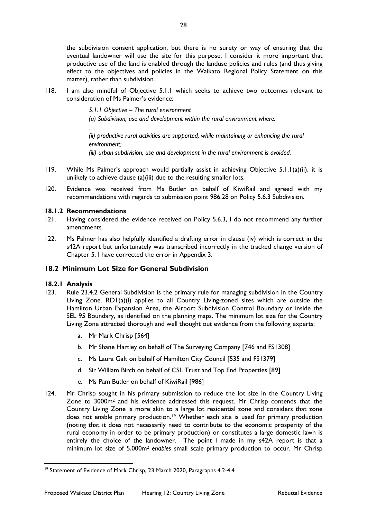the subdivision consent application, but there is no surety or way of ensuring that the eventual landowner will use the site for this purpose. I consider it more important that productive use of the land is enabled through the landuse policies and rules (and thus giving effect to the objectives and policies in the Waikato Regional Policy Statement on this matter), rather than subdivision.

118. I am also mindful of Objective 5.1.1 which seeks to achieve two outcomes relevant to consideration of Ms Palmer's evidence:

*5.1.1 Objective – The rural environment* 

*(a) Subdivision, use and development within the rural environment where:* 

*(ii) productive rural activities are supported, while maintaining or enhancing the rural environment; (iii) urban subdivision, use and development in the rural environment is avoided.* 

- 119. While Ms Palmer's approach would partially assist in achieving Objective 5.1.1(a)(ii), it is unlikely to achieve clause (a)(iii) due to the resulting smaller lots.
- 120. Evidence was received from Ms Butler on behalf of KiwiRail and agreed with my recommendations with regards to submission point 986.28 on Policy 5.6.3 Subdivision.

#### **18.1.2 Recommendations**

*…*

- 121. Having considered the evidence received on Policy 5.6.3, I do not recommend any further amendments.
- 122. Ms Palmer has also helpfully identified a drafting error in clause (iv) which is correct in the s42A report but unfortunately was transcribed incorrectly in the tracked change version of Chapter 5. I have corrected the error in Appendix 3.

#### <span id="page-27-0"></span>**18.2 Minimum Lot Size for General Subdivision**

- 123. Rule 23.4.2 General Subdivision is the primary rule for managing subdivision in the Country Living Zone. RD1(a)(i) applies to all Country Living-zoned sites which are outside the Hamilton Urban Expansion Area, the Airport Subdivision Control Boundary or inside the SEL 95 Boundary, as identified on the planning maps. The minimum lot size for the Country Living Zone attracted thorough and well thought out evidence from the following experts:
	- a. Mr Mark Chrisp [564]
	- b. Mr Shane Hartley on behalf of The Surveying Company [746 and FS1308]
	- c. Ms Laura Galt on behalf of Hamilton City Council [535 and FS1379]
	- d. Sir William Birch on behalf of CSL Trust and Top End Properties [89]
	- e. Ms Pam Butler on behalf of KiwiRail [986]
- 124. Mr Chrisp sought in his primary submission to reduce the lot size in the Country Living Zone to 3000m2 and his evidence addressed this request. Mr Chrisp contends that the Country Living Zone is more akin to a large lot residential zone and considers that zone does not enable primary production.<sup>[19](#page-27-1)</sup> Whether each site is used for primary production (noting that it does not necessarily need to contribute to the economic prosperity of the rural economy in order to be primary production) or constitutes a large domestic lawn is entirely the choice of the landowner. The point I made in my s42A report is that a minimum lot size of 5,000m2 *enables* small scale primary production to occur. Mr Chrisp

<span id="page-27-1"></span><sup>&</sup>lt;sup>19</sup> Statement of Evidence of Mark Chrisp, 23 March 2020, Paragraphs 4.2-4.4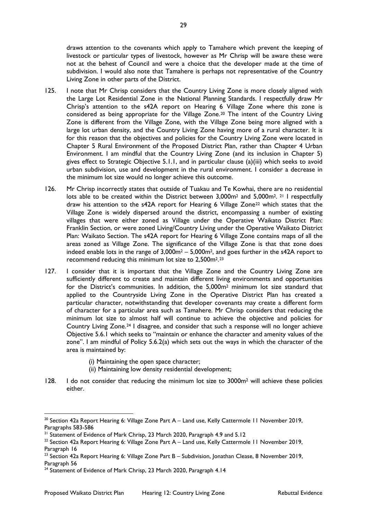draws attention to the covenants which apply to Tamahere which prevent the keeping of livestock or particular types of livestock, however as Mr Chrisp will be aware these were not at the behest of Council and were a choice that the developer made at the time of subdivision. I would also note that Tamahere is perhaps not representative of the Country Living Zone in other parts of the District.

- 125. I note that Mr Chrisp considers that the Country Living Zone is more closely aligned with the Large Lot Residential Zone in the National Planning Standards. I respectfully draw Mr Chrisp's attention to the s42A report on Hearing 6 Village Zone where this zone is considered as being appropriate for the Village Zone.[20](#page-28-0) The intent of the Country Living Zone is different from the Village Zone, with the Village Zone being more aligned with a large lot urban density, and the Country Living Zone having more of a rural character. It is for this reason that the objectives and policies for the Country Living Zone were located in Chapter 5 Rural Environment of the Proposed District Plan, rather than Chapter 4 Urban Environment. I am mindful that the Country Living Zone (and its inclusion in Chapter 5) gives effect to Strategic Objective 5.1.1, and in particular clause (a)(iii) which seeks to avoid urban subdivision, use and development in the rural environment. I consider a decrease in the minimum lot size would no longer achieve this outcome.
- 126. Mr Chrisp incorrectly states that outside of Tuakau and Te Kowhai, there are no residential lots able to be created within the District between  $3.000m^2$  and  $5.000m^2$ . <sup>[21](#page-28-1)</sup> I respectfully draw his attention to the s42A report for Hearing 6 Village Zone<sup>[22](#page-28-2)</sup> which states that the Village Zone is widely dispersed around the district, encompassing a number of existing villages that were either zoned as Village under the Operative Waikato District Plan: Franklin Section, or were zoned Living/Country Living under the Operative Waikato District Plan: Waikato Section. The s42A report for Hearing 6 Village Zone contains maps of all the areas zoned as Village Zone. The significance of the Village Zone is that that zone does indeed enable lots in the range of 3,000m2 – 5,000m2, and goes further in the s42A report to recommend reducing this minimum lot size to 2,500m2.[23](#page-28-3)
- 127. I consider that it is important that the Village Zone and the Country Living Zone are sufficiently different to create and maintain different living environments and opportunities for the District's communities. In addition, the 5,000m2 minimum lot size standard that applied to the Countryside Living Zone in the Operative District Plan has created a particular character, notwithstanding that developer covenants may create a different form of character for a particular area such as Tamahere. Mr Chrisp considers that reducing the minimum lot size to almost half will continue to achieve the objective and policies for Country Living Zone.[24](#page-28-4) I disagree, and consider that such a response will no longer achieve Objective 5.6.1 which seeks to "maintain or enhance the character and amenity values of the zone". I am mindful of Policy 5.6.2(a) which sets out the ways in which the character of the area is maintained by:
	- (i) Maintaining the open space character;
	- (ii) Maintaining low density residential development;
- 128. I do not consider that reducing the minimum lot size to 3000m<sup>2</sup> will achieve these policies either.

<span id="page-28-0"></span><sup>&</sup>lt;sup>20</sup> Section 42a Report Hearing 6: Village Zone Part A – Land use, Kelly Cattermole 11 November 2019, Paragraphs 583-586

<span id="page-28-1"></span><sup>&</sup>lt;sup>21</sup> Statement of Evidence of Mark Chrisp, 23 March 2020, Paragraph 4.9 and 5.12

<span id="page-28-2"></span><sup>&</sup>lt;sup>22</sup> Section 42a Report Hearing 6: Village Zone Part A – Land use, Kelly Cattermole 11 November 2019, Paragraph 16

<span id="page-28-3"></span><sup>&</sup>lt;sup>23</sup> Section 42a Report Hearing 6: Village Zone Part B – Subdivision, Jonathan Clease, 8 November 2019, Paragraph 56

<span id="page-28-4"></span><sup>&</sup>lt;sup>24</sup> Statement of Evidence of Mark Chrisp, 23 March 2020, Paragraph 4.14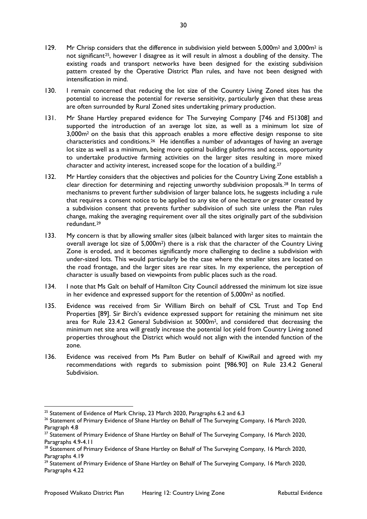- 129. Mr Chrisp considers that the difference in subdivision yield between 5,000m<sup>2</sup> and 3,000m<sup>2</sup> is not significant<sup>[25](#page-29-0)</sup>, however I disagree as it will result in almost a doubling of the density. The existing roads and transport networks have been designed for the existing subdivision pattern created by the Operative District Plan rules, and have not been designed with intensification in mind.
- 130. I remain concerned that reducing the lot size of the Country Living Zoned sites has the potential to increase the potential for reverse sensitivity, particularly given that these areas are often surrounded by Rural Zoned sites undertaking primary production.
- 131. Mr Shane Hartley prepared evidence for The Surveying Company [746 and FS1308] and supported the introduction of an average lot size, as well as a minimum lot size of 3,000m2 on the basis that this approach enables a more effective design response to site characteristics and conditions.[26](#page-29-1) He identifies a number of advantages of having an average lot size as well as a minimum, being more optimal building platforms and access, opportunity to undertake productive farming activities on the larger sites resulting in more mixed character and activity interest, increased scope for the location of a building[.27](#page-29-2)
- 132. Mr Hartley considers that the objectives and policies for the Country Living Zone establish a clear direction for determining and rejecting unworthy subdivision proposals.[28](#page-29-3) In terms of mechanisms to prevent further subdivision of larger balance lots, he suggests including a rule that requires a consent notice to be applied to any site of one hectare or greater created by a subdivision consent that prevents further subdivision of such site unless the Plan rules change, making the averaging requirement over all the sites originally part of the subdivision redundant.[29](#page-29-4)
- 133. My concern is that by allowing smaller sites (albeit balanced with larger sites to maintain the overall average lot size of 5,000m<sup>2</sup>) there is a risk that the character of the Country Living Zone is eroded, and it becomes significantly more challenging to decline a subdivision with under-sized lots. This would particularly be the case where the smaller sites are located on the road frontage, and the larger sites are rear sites. In my experience, the perception of character is usually based on viewpoints from public places such as the road.
- 134. I note that Ms Galt on behalf of Hamilton City Council addressed the minimum lot size issue in her evidence and expressed support for the retention of 5,000m2 as notified.
- 135. Evidence was received from Sir William Birch on behalf of CSL Trust and Top End Properties [89]. Sir Birch's evidence expressed support for retaining the minimum net site area for Rule 23.4.2 General Subdivision at 5000m2, and considered that decreasing the minimum net site area will greatly increase the potential lot yield from Country Living zoned properties throughout the District which would not align with the intended function of the zone.
- 136. Evidence was received from Ms Pam Butler on behalf of KiwiRail and agreed with my recommendations with regards to submission point [986.90] on Rule 23.4.2 General Subdivision.

<span id="page-29-0"></span><sup>&</sup>lt;sup>25</sup> Statement of Evidence of Mark Chrisp, 23 March 2020, Paragraphs 6.2 and 6.3

<span id="page-29-1"></span><sup>&</sup>lt;sup>26</sup> Statement of Primary Evidence of Shane Hartley on Behalf of The Surveying Company, 16 March 2020, Paragraph 4.8

<span id="page-29-2"></span><sup>&</sup>lt;sup>27</sup> Statement of Primary Evidence of Shane Hartley on Behalf of The Surveying Company, 16 March 2020, Paragraphs 4.9-4.11

<span id="page-29-3"></span><sup>&</sup>lt;sup>28</sup> Statement of Primary Evidence of Shane Hartley on Behalf of The Surveying Company, 16 March 2020, Paragraphs 4.19

<span id="page-29-4"></span><sup>&</sup>lt;sup>29</sup> Statement of Primary Evidence of Shane Hartley on Behalf of The Surveying Company, 16 March 2020, Paragraphs 4.22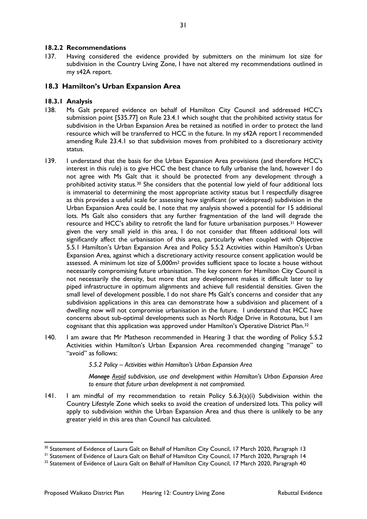#### **18.2.2 Recommendations**

137. Having considered the evidence provided by submitters on the minimum lot size for subdivision in the Country Living Zone, I have not altered my recommendations outlined in my s42A report.

#### <span id="page-30-0"></span>**18.3 Hamilton's Urban Expansion Area**

#### **18.3.1 Analysis**

- 138. Ms Galt prepared evidence on behalf of Hamilton City Council and addressed HCC's submission point [535.77] on Rule 23.4.1 which sought that the prohibited activity status for subdivision in the Urban Expansion Area be retained as notified in order to protect the land resource which will be transferred to HCC in the future. In my s42A report I recommended amending Rule 23.4.1 so that subdivision moves from prohibited to a discretionary activity status.
- 139. I understand that the basis for the Urban Expansion Area provisions (and therefore HCC's interest in this rule) is to give HCC the best chance to fully urbanise the land, however I do not agree with Ms Galt that it should be protected from any development through a prohibited activity status.<sup>[30](#page-30-1)</sup> She considers that the potential low yield of four additional lots is immaterial to determining the most appropriate activity status but I respectfully disagree as this provides a useful scale for assessing how significant (or widespread) subdivision in the Urban Expansion Area could be. I note that my analysis showed a potential for 15 additional lots. Ms Galt also considers that any further fragmentation of the land will degrade the resource and HCC's ability to retrofit the land for future urbanisation purposes.[31](#page-30-2) However given the very small yield in this area, I do not consider that fifteen additional lots will significantly affect the urbanisation of this area, particularly when coupled with Objective 5.5.1 Hamilton's Urban Expansion Area and Policy 5.5.2 Activities within Hamilton's Urban Expansion Area, against which a discretionary activity resource consent application would be assessed. A minimum lot size of 5,000m2 provides sufficient space to locate a house without necessarily compromising future urbanisation. The key concern for Hamilton City Council is not necessarily the density, but more that any development makes it difficult later to lay piped infrastructure in optimum alignments and achieve full residential densities. Given the small level of development possible, I do not share Ms Galt's concerns and consider that any subdivision applications in this area can demonstrate how a subdivision and placement of a dwelling now will not compromise urbanisation in the future. I understand that HCC have concerns about sub-optimal developments such as North Ridge Drive in Rototuna, but I am cognisant that this application was approved under Hamilton's Operative District Plan.[32](#page-30-3)
- 140. I am aware that Mr Matheson recommended in Hearing 3 that the wording of Policy 5.5.2 Activities within Hamilton's Urban Expansion Area recommended changing "manage" to "avoid" as follows:

*5.5.2 Policy – Activities within Hamilton's Urban Expansion Area* 

*Manage Avoid subdivision, use and development within Hamilton's Urban Expansion Area to ensure that future urban development is not compromised.*

141. I am mindful of my recommendation to retain Policy 5.6.3(a)(i) Subdivision within the Country Lifestyle Zone which seeks to avoid the creation of undersized lots. This policy will apply to subdivision within the Urban Expansion Area and thus there is unlikely to be any greater yield in this area than Council has calculated.

<span id="page-30-1"></span><sup>&</sup>lt;sup>30</sup> Statement of Evidence of Laura Galt on Behalf of Hamilton City Council, 17 March 2020, Paragraph 13

<span id="page-30-2"></span><sup>&</sup>lt;sup>31</sup> Statement of Evidence of Laura Galt on Behalf of Hamilton City Council, 17 March 2020, Paragraph 14

<span id="page-30-3"></span><sup>&</sup>lt;sup>32</sup> Statement of Evidence of Laura Galt on Behalf of Hamilton City Council, 17 March 2020, Paragraph 40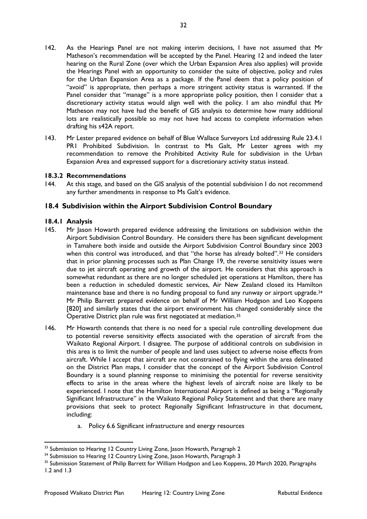- 142. As the Hearings Panel are not making interim decisions, I have not assumed that Mr Matheson's recommendation will be accepted by the Panel. Hearing 12 and indeed the later hearing on the Rural Zone (over which the Urban Expansion Area also applies) will provide the Hearings Panel with an opportunity to consider the suite of objective, policy and rules for the Urban Expansion Area as a package. If the Panel deem that a policy position of "avoid" is appropriate, then perhaps a more stringent activity status is warranted. If the Panel consider that "manage" is a more appropriate policy position, then I consider that a discretionary activity status would align well with the policy. I am also mindful that Mr Matheson may not have had the benefit of GIS analysis to determine how many additional lots are realistically possible so may not have had access to complete information when drafting his s42A report.
- 143. Mr Lester prepared evidence on behalf of Blue Wallace Surveyors Ltd addressing Rule 23.4.1 PR1 Prohibited Subdivision. In contrast to Ms Galt, Mr Lester agrees with my recommendation to remove the Prohibited Activity Rule for subdivision in the Urban Expansion Area and expressed support for a discretionary activity status instead.

#### **18.3.2 Recommendations**

144. At this stage, and based on the GIS analysis of the potential subdivision I do not recommend any further amendments in response to Ms Galt's evidence.

#### <span id="page-31-0"></span>**18.4 Subdivision within the Airport Subdivision Control Boundary**

- 145. Mr Jason Howarth prepared evidence addressing the limitations on subdivision within the Airport Subdivision Control Boundary. He considers there has been significant development in Tamahere both inside and outside the Airport Subdivision Control Boundary since 2003 when this control was introduced, and that "the horse has already bolted".<sup>[33](#page-31-1)</sup> He considers that in prior planning processes such as Plan Change 19, the reverse sensitivity issues were due to jet aircraft operating and growth of the airport. He considers that this approach is somewhat redundant as there are no longer scheduled jet operations at Hamilton, there has been a reduction in scheduled domestic services, Air New Zealand closed its Hamilton maintenance base and there is no funding proposal to fund any runway or airport upgrade.<sup>[34](#page-31-2)</sup> Mr Philip Barrett prepared evidence on behalf of Mr William Hodgson and Leo Koppens [820] and similarly states that the airport environment has changed considerably since the Operative District plan rule was first negotiated at mediation[.35](#page-31-3)
- 146. Mr Howarth contends that there is no need for a special rule controlling development due to potential reverse sensitivity effects associated with the operation of aircraft from the Waikato Regional Airport. I disagree. The purpose of additional controls on subdivision in this area is to limit the number of people and land uses subject to adverse noise effects from aircraft. While I accept that aircraft are not constrained to flying within the area delineated on the District Plan maps, I consider that the concept of the Airport Subdivision Control Boundary is a sound planning response to minimising the potential for reverse sensitivity effects to arise in the areas where the highest levels of aircraft noise are likely to be experienced. I note that the Hamilton International Airport is defined as being a "Regionally Significant Infrastructure" in the Waikato Regional Policy Statement and that there are many provisions that seek to protect Regionally Significant Infrastructure in that document, including:
	- a. Policy 6.6 Significant infrastructure and energy resources

<span id="page-31-1"></span><sup>&</sup>lt;sup>33</sup> Submission to Hearing 12 Country Living Zone, Jason Howarth, Paragraph 2

<span id="page-31-2"></span><sup>&</sup>lt;sup>34</sup> Submission to Hearing 12 Country Living Zone, Jason Howarth, Paragraph 3

<span id="page-31-3"></span><sup>35</sup> Submission Statement of Philip Barrett for William Hodgson and Leo Koppens, 20 March 2020, Paragraphs 1.2 and 1.3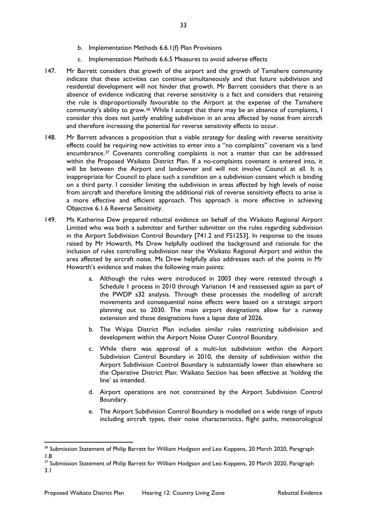- b. Implementation Methods 6.6.1(f) Plan Provisions
- c. Implementation Methods 6.6.5 Measures to avoid adverse effects
- 147. Mr Barrett considers that growth of the airport and the growth of Tamahere community indicate that these activities can continue simultaneously and that future subdivision and residential development will not hinder that growth. Mr Barrett considers that there is an absence of evidence indicating that reverse sensitivity is a fact and considers that retaining the rule is disproportionally favourable to the Airport at the expense of the Tamahere community's ability to grow.[36](#page-32-0) While I accept that there may be an absence of complaints, I consider this does not justify enabling subdivision in an area affected by noise from aircraft and therefore increasing the potential for reverse sensitivity effects to occur.
- 148. Mr Barrett advances a proposition that a viable strategy for dealing with reverse sensitivity effects could be requiring new activities to enter into a "no complaints" covenant via a land encumbrance.[37](#page-32-1) Covenants controlling complaints is not a matter that can be addressed within the Proposed Waikato District Plan. If a no-complaints covenant is entered into, it will be between the Airport and landowner and will not involve Council at all. It is inappropriate for Council to place such a condition on a subdivision consent which is binding on a third party. I consider limiting the subdivision in areas affected by high levels of noise from aircraft and therefore limiting the additional risk of reverse sensitivity effects to arise is a more effective and efficient approach. This approach is more effective in achieving Objective 6.1.6 Reverse Sensitivity.
- 149. Ms Katherine Dew prepared rebuttal evidence on behalf of the Waikato Regional Airport Limited who was both a submitter and further submitter on the rules regarding subdivision in the Airport Subdivision Control Boundary [741.2 and FS1253]. In response to the issues raised by Mr Howarth, Ms Drew helpfully outlined the background and rationale for the inclusion of rules controlling subdivision near the Waikato Regional Airport and within the area affected by aircraft noise. Ms Drew helpfully also addresses each of the points in Mr Howarth's evidence and makes the following main points:
	- a. Although the rules were introduced in 2003 they were retested through a Schedule 1 process in 2010 through Variation 14 and reassessed again as part of the PWDP s32 analysis. Through these processes the modelling of aircraft movements and consequential noise effects were based on a strategic airport planning out to 2030. The main airport designations allow for a runway extension and those designations have a lapse date of 2026.
	- b. The Waipa District Plan includes similar rules restricting subdivision and development within the Airport Noise Outer Control Boundary.
	- c. While there was approval of a multi-lot subdivision within the Airport Subdivision Control Boundary in 2010, the density of subdivision within the Airport Subdivision Control Boundary is substantially lower than elsewhere so the Operative District Plan: Waikato Section has been effective at 'holding the line' as intended.
	- d. Airport operations are not constrained by the Airport Subdivision Control Boundary.
	- e. The Airport Subdivision Control Boundary is modelled on a wide range of inputs including aircraft types, their noise characteristics, flight paths, meteorological

<span id="page-32-0"></span><sup>&</sup>lt;sup>36</sup> Submission Statement of Philip Barrett for William Hodgson and Leo Koppens, 20 March 2020, Paragraph 1.8

<span id="page-32-1"></span><sup>&</sup>lt;sup>37</sup> Submission Statement of Philip Barrett for William Hodgson and Leo Koppens, 20 March 2020, Paragraph 3.1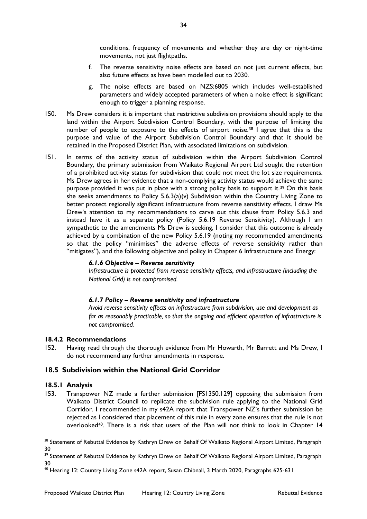conditions, frequency of movements and whether they are day or night-time movements, not just flightpaths.

- f. The reverse sensitivity noise effects are based on not just current effects, but also future effects as have been modelled out to 2030.
- g. The noise effects are based on NZS:6805 which includes well-established parameters and widely accepted parameters of when a noise effect is significant enough to trigger a planning response.
- 150. Ms Drew considers it is important that restrictive subdivision provisions should apply to the land within the Airport Subdivision Control Boundary, with the purpose of limiting the number of people to exposure to the effects of airport noise.<sup>[38](#page-33-1)</sup> I agree that this is the purpose and value of the Airport Subdivision Control Boundary and that it should be retained in the Proposed District Plan, with associated limitations on subdivision.
- 151. In terms of the activity status of subdivision within the Airport Subdivision Control Boundary, the primary submission from Waikato Regional Airport Ltd sought the retention of a prohibited activity status for subdivision that could not meet the lot size requirements. Ms Drew agrees in her evidence that a non-complying activity status would achieve the same purpose provided it was put in place with a strong policy basis to support it.<sup>39</sup> On this basis she seeks amendments to Policy 5.6.3(a)(v) Subdivision within the Country Living Zone to better protect regionally significant infrastructure from reverse sensitivity effects. I draw Ms Drew's attention to my recommendations to carve out this clause from Policy 5.6.3 and instead have it as a separate policy (Policy 5.6.19 Reverse Sensitivity). Although I am sympathetic to the amendments Ms Drew is seeking, I consider that this outcome is already achieved by a combination of the new Policy 5.6.19 (noting my recommended amendments so that the policy "minimises" the adverse effects of reverse sensitivity rather than "mitigates"), and the following objective and policy in Chapter 6 Infrastructure and Energy:

#### *6.1.6 Objective – Reverse sensitivity*

*Infrastructure is protected from reverse sensitivity effects, and infrastructure (including the National Grid) is not compromised.* 

#### *6.1.7 Policy – Reverse sensitivity and infrastructure*

*Avoid reverse sensitivity effects on infrastructure from subdivision, use and development as far as reasonably practicable, so that the ongoing and efficient operation of infrastructure is not compromised.*

#### **18.4.2 Recommendations**

152. Having read through the thorough evidence from Mr Howarth, Mr Barrett and Ms Drew, I do not recommend any further amendments in response.

#### <span id="page-33-0"></span>**18.5 Subdivision within the National Grid Corridor**

#### **18.5.1 Analysis**

153. Transpower NZ made a further submission [FS1350.129] opposing the submission from Waikato District Council to replicate the subdivision rule applying to the National Grid Corridor. I recommended in my s42A report that Transpower NZ's further submission be rejected as I considered that placement of this rule in every zone ensures that the rule is not overlooked[40.](#page-33-3) There is a risk that users of the Plan will not think to look in Chapter 14

<span id="page-33-1"></span><sup>38</sup> Statement of Rebuttal Evidence by Kathryn Drew on Behalf Of Waikato Regional Airport Limited, Paragraph 30

<span id="page-33-2"></span><sup>&</sup>lt;sup>39</sup> Statement of Rebuttal Evidence by Kathryn Drew on Behalf Of Waikato Regional Airport Limited, Paragraph 30

<span id="page-33-3"></span><sup>40</sup> Hearing 12: Country Living Zone s42A report, Susan Chibnall, 3 March 2020, Paragraphs 625-631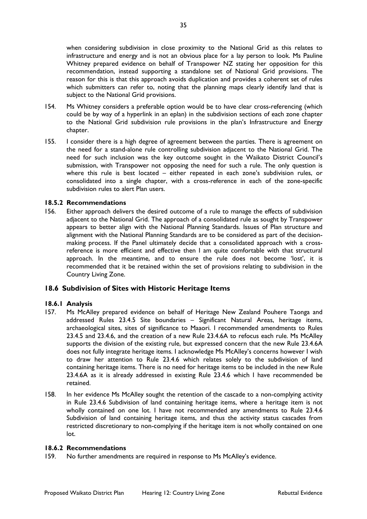when considering subdivision in close proximity to the National Grid as this relates to infrastructure and energy and is not an obvious place for a lay person to look. Ms Pauline Whitney prepared evidence on behalf of Transpower NZ stating her opposition for this recommendation, instead supporting a standalone set of National Grid provisions. The reason for this is that this approach avoids duplication and provides a coherent set of rules which submitters can refer to, noting that the planning maps clearly identify land that is subject to the National Grid provisions.

- 154. Ms Whitney considers a preferable option would be to have clear cross-referencing (which could be by way of a hyperlink in an eplan) in the subdivision sections of each zone chapter to the National Grid subdivision rule provisions in the plan's Infrastructure and Energy chapter.
- 155. I consider there is a high degree of agreement between the parties. There is agreement on the need for a stand-alone rule controlling subdivision adjacent to the National Grid. The need for such inclusion was the key outcome sought in the Waikato District Council's submission, with Transpower not opposing the need for such a rule. The only question is where this rule is best located – either repeated in each zone's subdivision rules, or consolidated into a single chapter, with a cross-reference in each of the zone-specific subdivision rules to alert Plan users.

#### **18.5.2 Recommendations**

156. Either approach delivers the desired outcome of a rule to manage the effects of subdivision adjacent to the National Grid. The approach of a consolidated rule as sought by Transpower appears to better align with the National Planning Standards. Issues of Plan structure and alignment with the National Planning Standards are to be considered as part of the decisionmaking process. If the Panel ultimately decide that a consolidated approach with a crossreference is more efficient and effective then I am quite comfortable with that structural approach. In the meantime, and to ensure the rule does not become 'lost', it is recommended that it be retained within the set of provisions relating to subdivision in the Country Living Zone.

#### <span id="page-34-0"></span>**18.6 Subdivision of Sites with Historic Heritage Items**

#### **18.6.1 Analysis**

- 157. Ms McAlley prepared evidence on behalf of Heritage New Zealand Pouhere Taonga and addressed Rules 23.4.5 Site boundaries – Significant Natural Areas, heritage items, archaeological sites, sites of significance to Maaori. I recommended amendments to Rules 23.4.5 and 23.4.6, and the creation of a new Rule 23.4.6A to refocus each rule. Ms McAlley supports the division of the existing rule, but expressed concern that the new Rule 23.4.6A does not fully integrate heritage items. I acknowledge Ms McAlley's concerns however I wish to draw her attention to Rule 23.4.6 which relates solely to the subdivision of land containing heritage items. There is no need for heritage items to be included in the new Rule 23.4.6A as it is already addressed in existing Rule 23.4.6 which I have recommended be retained.
- 158. In her evidence Ms McAlley sought the retention of the cascade to a non-complying activity in Rule 23.4.6 Subdivision of land containing heritage items, where a heritage item is not wholly contained on one lot. I have not recommended any amendments to Rule 23.4.6 Subdivision of land containing heritage items, and thus the activity status cascades from restricted discretionary to non-complying if the heritage item is not wholly contained on one lot.

#### **18.6.2 Recommendations**

159. No further amendments are required in response to Ms McAlley's evidence.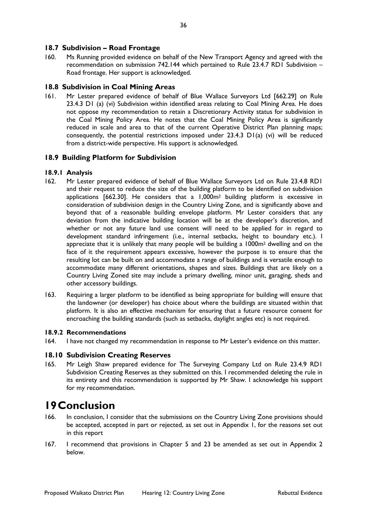#### <span id="page-35-0"></span>**18.7 Subdivision – Road Frontage**

160. Ms Running provided evidence on behalf of the New Transport Agency and agreed with the recommendation on submission 742.144 which pertained to Rule 23.4.7 RD1 Subdivision – Road frontage. Her support is acknowledged.

#### <span id="page-35-1"></span>**18.8 Subdivision in Coal Mining Areas**

161. Mr Lester prepared evidence of behalf of Blue Wallace Surveyors Ltd [662.29] on Rule 23.4.3 D1 (a) (vi) Subdivision within identified areas relating to Coal Mining Area. He does not oppose my recommendation to retain a Discretionary Activity status for subdivision in the Coal Mining Policy Area. He notes that the Coal Mining Policy Area is significantly reduced in scale and area to that of the current Operative District Plan planning maps; consequently, the potential restrictions imposed under 23.4.3 D1(a) (vi) will be reduced from a district-wide perspective. His support is acknowledged.

#### <span id="page-35-2"></span>**18.9 Building Platform for Subdivision**

#### **18.9.1 Analysis**

- 162. Mr Lester prepared evidence of behalf of Blue Wallace Surveyors Ltd on Rule 23.4.8 RD1 and their request to reduce the size of the building platform to be identified on subdivision applications [662.30]. He considers that a 1,000m2 building platform is excessive in consideration of subdivision design in the Country Living Zone, and is significantly above and beyond that of a reasonable building envelope platform. Mr Lester considers that any deviation from the indicative building location will be at the developer's discretion, and whether or not any future land use consent will need to be applied for in regard to development standard infringement (i.e., internal setbacks, height to boundary etc.). I appreciate that it is unlikely that many people will be building a 1000m2 dwelling and on the face of it the requirement appears excessive, however the purpose is to ensure that the resulting lot can be built on and accommodate a range of buildings and is versatile enough to accommodate many different orientations, shapes and sizes. Buildings that are likely on a Country Living Zoned site may include a primary dwelling, minor unit, garaging, sheds and other accessory buildings.
- 163. Requiring a larger platform to be identified as being appropriate for building will ensure that the landowner (or developer) has choice about where the buildings are situated within that platform. It is also an effective mechanism for ensuring that a future resource consent for encroaching the building standards (such as setbacks, daylight angles etc) is not required.

#### **18.9.2 Recommendations**

164. I have not changed my recommendation in response to Mr Lester's evidence on this matter.

#### <span id="page-35-3"></span>**18.10 Subdivision Creating Reserves**

165. Mr Leigh Shaw prepared evidence for The Surveying Company Ltd on Rule 23.4.9 RD1 Subdivision Creating Reserves as they submitted on this. I recommended deleting the rule in its entirety and this recommendation is supported by Mr Shaw. I acknowledge his support for my recommendation.

## <span id="page-35-4"></span>**19Conclusion**

- 166. In conclusion, I consider that the submissions on the Country Living Zone provisions should be accepted, accepted in part or rejected, as set out in Appendix 1, for the reasons set out in this report
- 167. I recommend that provisions in Chapter 5 and 23 be amended as set out in Appendix 2 below.